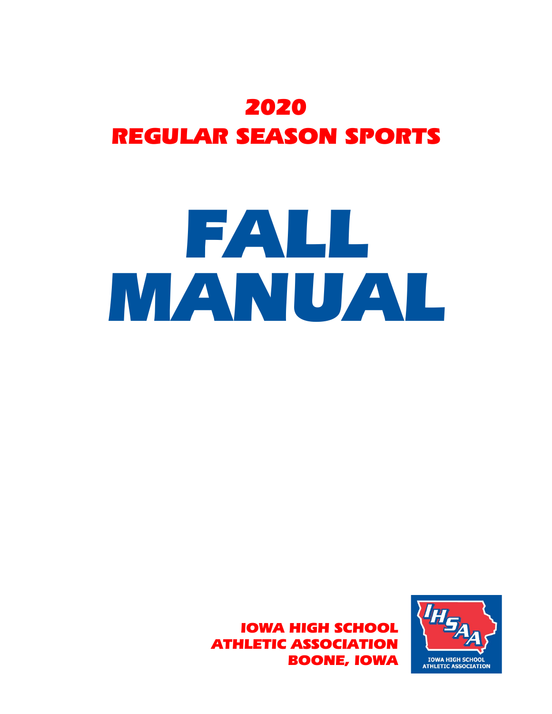## 2020 REGULAR SEASON SPORTS

# FALL MANUAL

IOWA HIGH SCHOOL ATHLETIC ASSOCIATION BOONE, IOWA

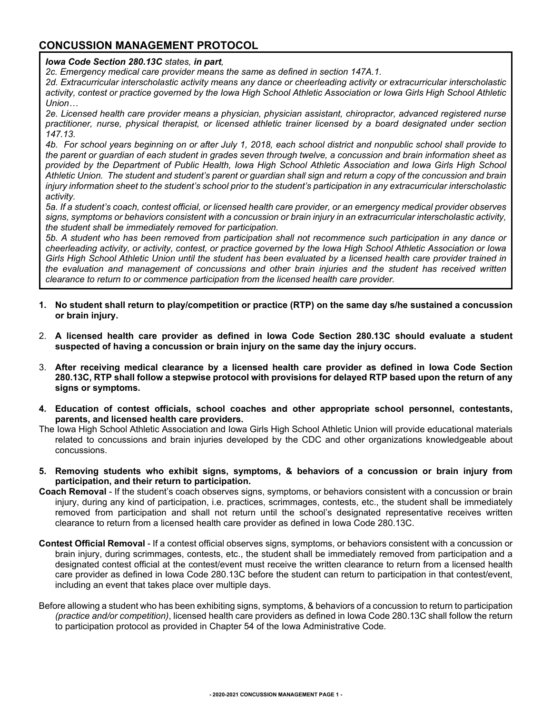#### **CONCUSSION MANAGEMENT PROTOCOL**

*Iowa Code Section 280.13C states, in part,*

*2c. Emergency medical care provider means the same as defined in section 147A.1.*

*2d. Extracurricular interscholastic activity means any dance or cheerleading activity or extracurricular interscholastic activity, contest or practice governed by the Iowa High School Athletic Association or Iowa Girls High School Athletic Union…*

*2e. Licensed health care provider means a physician, physician assistant, chiropractor, advanced registered nurse practitioner, nurse, physical therapist, or licensed athletic trainer licensed by a board designated under section 147.13.*

*4b. For school years beginning on or after July 1, 2018, each school district and nonpublic school shall provide to the parent or guardian of each student in grades seven through twelve, a concussion and brain information sheet as provided by the Department of Public Health, Iowa High School Athletic Association and Iowa Girls High School Athletic Union. The student and student's parent or guardian shall sign and return a copy of the concussion and brain injury information sheet to the student's school prior to the student's participation in any extracurricular interscholastic activity.*

*5a. If a student's coach, contest official, or licensed health care provider, or an emergency medical provider observes signs, symptoms or behaviors consistent with a concussion or brain injury in an extracurricular interscholastic activity, the student shall be immediately removed for participation.*

*5b. A student who has been removed from participation shall not recommence such participation in any dance or cheerleading activity, or activity, contest, or practice governed by the Iowa High School Athletic Association or Iowa Girls High School Athletic Union until the student has been evaluated by a licensed health care provider trained in the evaluation and management of concussions and other brain injuries and the student has received written clearance to return to or commence participation from the licensed health care provider.*

- **1. No student shall return to play/competition or practice (RTP) on the same day s/he sustained a concussion or brain injury.**
- 2. **A licensed health care provider as defined in Iowa Code Section 280.13C should evaluate a student suspected of having a concussion or brain injury on the same day the injury occurs.**
- 3. **After receiving medical clearance by a licensed health care provider as defined in Iowa Code Section 280.13C, RTP shall follow a stepwise protocol with provisions for delayed RTP based upon the return of any signs or symptoms.**
- **4. Education of contest officials, school coaches and other appropriate school personnel, contestants, parents, and licensed health care providers.**
- The Iowa High School Athletic Association and Iowa Girls High School Athletic Union will provide educational materials related to concussions and brain injuries developed by the CDC and other organizations knowledgeable about concussions.
- **5. Removing students who exhibit signs, symptoms, & behaviors of a concussion or brain injury from participation, and their return to participation.**
- **Coach Removal** If the student's coach observes signs, symptoms, or behaviors consistent with a concussion or brain injury, during any kind of participation, i.e. practices, scrimmages, contests, etc., the student shall be immediately removed from participation and shall not return until the school's designated representative receives written clearance to return from a licensed health care provider as defined in Iowa Code 280.13C.
- **Contest Official Removal** If a contest official observes signs, symptoms, or behaviors consistent with a concussion or brain injury, during scrimmages, contests, etc., the student shall be immediately removed from participation and a designated contest official at the contest/event must receive the written clearance to return from a licensed health care provider as defined in Iowa Code 280.13C before the student can return to participation in that contest/event, including an event that takes place over multiple days.
- Before allowing a student who has been exhibiting signs, symptoms, & behaviors of a concussion to return to participation *(practice and/or competition)*, licensed health care providers as defined in Iowa Code 280.13C shall follow the return to participation protocol as provided in Chapter 54 of the Iowa Administrative Code*.*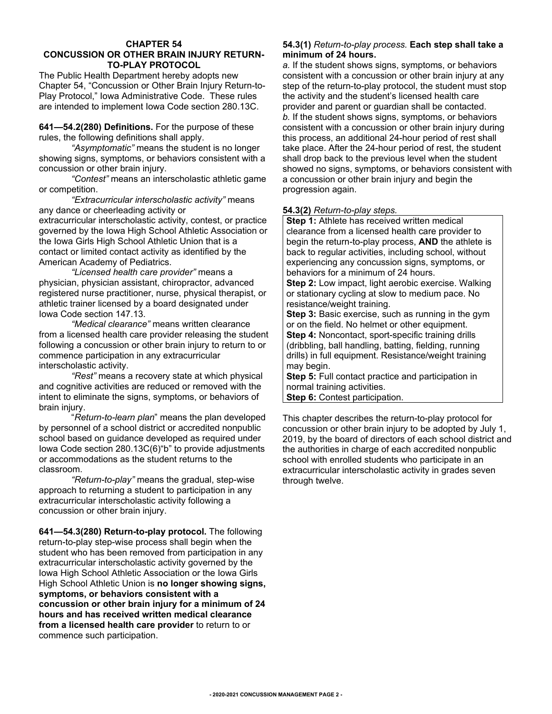#### **CHAPTER 54 CONCUSSION OR OTHER BRAIN INJURY RETURN-TO-PLAY PROTOCOL**

The Public Health Department hereby adopts new Chapter 54, "Concussion or Other Brain Injury Return-to-Play Protocol," Iowa Administrative Code. These rules are intended to implement Iowa Code section 280.13C.

**641—54.2(280) Definitions.** For the purpose of these rules, the following definitions shall apply.

*"Asymptomatic"* means the student is no longer showing signs, symptoms, or behaviors consistent with a concussion or other brain injury.

*"Contest"* means an interscholastic athletic game or competition.

*"Extracurricular interscholastic activity"* means any dance or cheerleading activity or extracurricular interscholastic activity, contest, or practice governed by the Iowa High School Athletic Association or the Iowa Girls High School Athletic Union that is a contact or limited contact activity as identified by the American Academy of Pediatrics.

*"Licensed health care provider"* means a physician, physician assistant, chiropractor, advanced registered nurse practitioner, nurse, physical therapist, or athletic trainer licensed by a board designated under Iowa Code section 147.13.

*"Medical clearance"* means written clearance from a licensed health care provider releasing the student following a concussion or other brain injury to return to or commence participation in any extracurricular interscholastic activity.

*"Rest"* means a recovery state at which physical and cognitive activities are reduced or removed with the intent to eliminate the signs, symptoms, or behaviors of brain injury.

"*Return-to-learn plan*" means the plan developed by personnel of a school district or accredited nonpublic school based on guidance developed as required under Iowa Code section 280.13C(6)"b" to provide adjustments or accommodations as the student returns to the classroom.

*"Return-to-play"* means the gradual, step-wise approach to returning a student to participation in any extracurricular interscholastic activity following a concussion or other brain injury.

**641—54.3(280) Return-to-play protocol.** The following return-to-play step-wise process shall begin when the student who has been removed from participation in any extracurricular interscholastic activity governed by the Iowa High School Athletic Association or the Iowa Girls High School Athletic Union is **no longer showing signs, symptoms, or behaviors consistent with a concussion or other brain injury for a minimum of 24 hours and has received written medical clearance from a licensed health care provider** to return to or commence such participation.

#### **54.3(1)** *Return-to-play process.* **Each step shall take a minimum of 24 hours.**

*a.* If the student shows signs, symptoms, or behaviors consistent with a concussion or other brain injury at any step of the return-to-play protocol, the student must stop the activity and the student's licensed health care provider and parent or guardian shall be contacted. *b.* If the student shows signs, symptoms, or behaviors consistent with a concussion or other brain injury during this process, an additional 24-hour period of rest shall take place. After the 24-hour period of rest, the student shall drop back to the previous level when the student showed no signs, symptoms, or behaviors consistent with a concussion or other brain injury and begin the progression again.

#### **54.3(2)** *Return-to-play steps.*

**Step 1:** Athlete has received written medical clearance from a licensed health care provider to begin the return-to-play process, **AND** the athlete is back to regular activities, including school, without experiencing any concussion signs, symptoms, or behaviors for a minimum of 24 hours.

**Step 2:** Low impact, light aerobic exercise. Walking or stationary cycling at slow to medium pace. No resistance/weight training.

**Step 3:** Basic exercise, such as running in the gym or on the field. No helmet or other equipment. **Step 4: Noncontact, sport-specific training drills** (dribbling, ball handling, batting, fielding, running drills) in full equipment. Resistance/weight training may begin.

**Step 5:** Full contact practice and participation in normal training activities.

**Step 6:** Contest participation.

This chapter describes the return-to-play protocol for concussion or other brain injury to be adopted by July 1, 2019, by the board of directors of each school district and the authorities in charge of each accredited nonpublic school with enrolled students who participate in an extracurricular interscholastic activity in grades seven through twelve.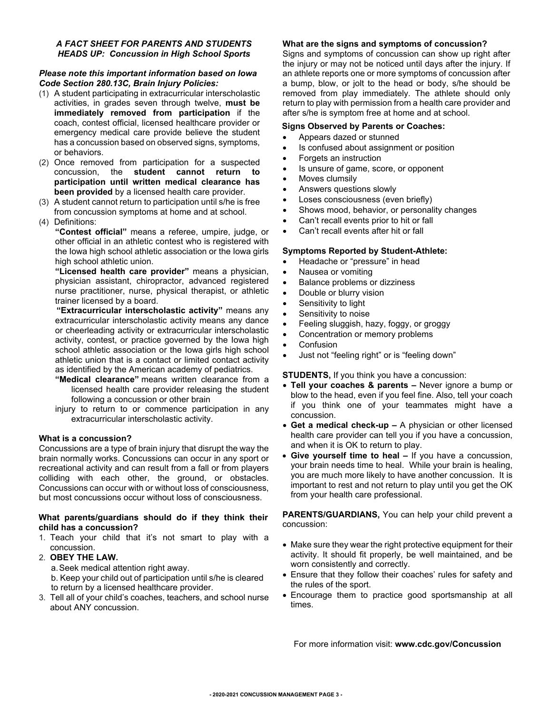#### *A FACT SHEET FOR PARENTS AND STUDENTS HEADS UP: Concussion in High School Sports*

#### *Please note this important information based on Iowa Code Section 280.13C, Brain Injury Policies:*

- (1) A student participating in extracurricular interscholastic activities, in grades seven through twelve, **must be immediately removed from participation** if the coach, contest official, licensed healthcare provider or emergency medical care provide believe the student has a concussion based on observed signs, symptoms, or behaviors.
- (2) Once removed from participation for a suspected concussion, the **student cannot return to participation until written medical clearance has been provided** by a licensed health care provider.
- (3) A student cannot return to participation until s/he is free from concussion symptoms at home and at school.
- (4) Definitions:

**"Contest official"** means a referee, umpire, judge, or other official in an athletic contest who is registered with the Iowa high school athletic association or the Iowa girls high school athletic union.

**"Licensed health care provider"** means a physician, physician assistant, chiropractor, advanced registered nurse practitioner, nurse, physical therapist, or athletic trainer licensed by a board.

 **"Extracurricular interscholastic activity"** means any extracurricular interscholastic activity means any dance or cheerleading activity or extracurricular interscholastic activity, contest, or practice governed by the Iowa high school athletic association or the Iowa girls high school athletic union that is a contact or limited contact activity as identified by the American academy of pediatrics.

- **"Medical clearance"** means written clearance from a licensed health care provider releasing the student following a concussion or other brain
- injury to return to or commence participation in any extracurricular interscholastic activity.

#### **What is a concussion?**

Concussions are a type of brain injury that disrupt the way the brain normally works. Concussions can occur in any sport or recreational activity and can result from a fall or from players colliding with each other, the ground, or obstacles. Concussions can occur with or without loss of consciousness, but most concussions occur without loss of consciousness.

#### **What parents/guardians should do if they think their child has a concussion?**

1. Teach your child that it's not smart to play with a concussion.

#### 2. **OBEY THE LAW.**

- a.Seek medical attention right away.
- b. Keep your child out of participation until s/he is cleared to return by a licensed healthcare provider.
- 3. Tell all of your child's coaches, teachers, and school nurse about ANY concussion.

#### **What are the signs and symptoms of concussion?**

Signs and symptoms of concussion can show up right after the injury or may not be noticed until days after the injury. If an athlete reports one or more symptoms of concussion after a bump, blow, or jolt to the head or body, s/he should be removed from play immediately. The athlete should only return to play with permission from a health care provider and after s/he is symptom free at home and at school.

#### **Signs Observed by Parents or Coaches:**

- Appears dazed or stunned
- Is confused about assignment or position
- Forgets an instruction
- Is unsure of game, score, or opponent
- Moves clumsily
- Answers questions slowly
- Loses consciousness (even briefly)
- Shows mood, behavior, or personality changes
- Can't recall events prior to hit or fall
- Can't recall events after hit or fall

#### **Symptoms Reported by Student-Athlete:**

- Headache or "pressure" in head
- Nausea or vomiting
- Balance problems or dizziness
- Double or blurry vision
- Sensitivity to light
- Sensitivity to noise
- Feeling sluggish, hazy, foggy, or groggy
- Concentration or memory problems
- Confusion
- Just not "feeling right" or is "feeling down"

#### **STUDENTS,** If you think you have a concussion:

- **Tell your coaches & parents –** Never ignore a bump or blow to the head, even if you feel fine. Also, tell your coach if you think one of your teammates might have a concussion.
- **Get a medical check-up –** A physician or other licensed health care provider can tell you if you have a concussion, and when it is OK to return to play.
- **Give yourself time to heal –** If you have a concussion, your brain needs time to heal. While your brain is healing, you are much more likely to have another concussion. It is important to rest and not return to play until you get the OK from your health care professional.

**PARENTS/GUARDIANS,** You can help your child prevent a concussion:

- Make sure they wear the right protective equipment for their activity. It should fit properly, be well maintained, and be worn consistently and correctly.
- Ensure that they follow their coaches' rules for safety and the rules of the sport.
- Encourage them to practice good sportsmanship at all times.

For more information visit: **www.cdc.gov/Concussion**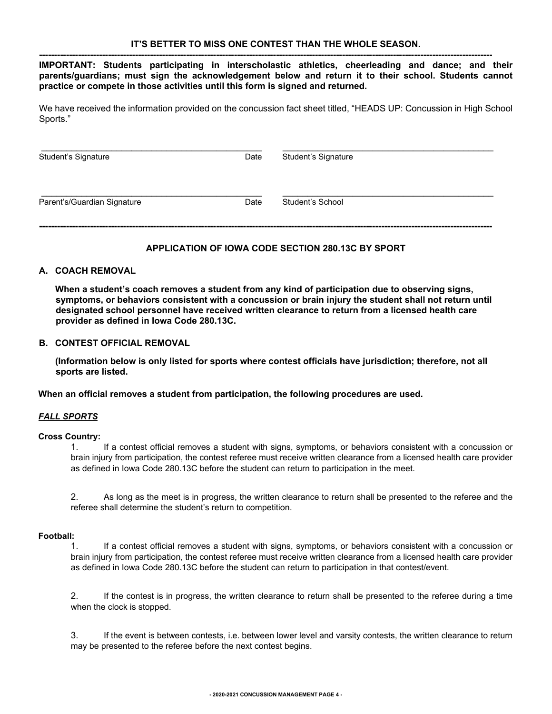**------------------------------------------------------------------------------------------------------------------------------------------------------- IMPORTANT: Students participating in interscholastic athletics, cheerleading and dance; and their parents/guardians; must sign the acknowledgement below and return it to their school. Students cannot practice or compete in those activities until this form is signed and returned.** 

We have received the information provided on the concussion fact sheet titled, "HEADS UP: Concussion in High School Sports."

| Student's Signature         | Date | Student's Signature |  |  |
|-----------------------------|------|---------------------|--|--|
| Parent's/Guardian Signature | Date | Student's School    |  |  |

#### **APPLICATION OF IOWA CODE SECTION 280.13C BY SPORT**

#### **A. COACH REMOVAL**

**When a student's coach removes a student from any kind of participation due to observing signs, symptoms, or behaviors consistent with a concussion or brain injury the student shall not return until designated school personnel have received written clearance to return from a licensed health care provider as defined in Iowa Code 280.13C.** 

#### **B. CONTEST OFFICIAL REMOVAL**

**(Information below is only listed for sports where contest officials have jurisdiction; therefore, not all sports are listed.** 

**When an official removes a student from participation, the following procedures are used.** 

#### *FALL SPORTS*

#### **Cross Country:**

1. If a contest official removes a student with signs, symptoms, or behaviors consistent with a concussion or brain injury from participation, the contest referee must receive written clearance from a licensed health care provider as defined in Iowa Code 280.13C before the student can return to participation in the meet.

2. As long as the meet is in progress, the written clearance to return shall be presented to the referee and the referee shall determine the student's return to competition.

#### **Football:**

1. If a contest official removes a student with signs, symptoms, or behaviors consistent with a concussion or brain injury from participation, the contest referee must receive written clearance from a licensed health care provider as defined in Iowa Code 280.13C before the student can return to participation in that contest/event.

2. If the contest is in progress, the written clearance to return shall be presented to the referee during a time when the clock is stopped.

3. If the event is between contests, i.e. between lower level and varsity contests, the written clearance to return may be presented to the referee before the next contest begins.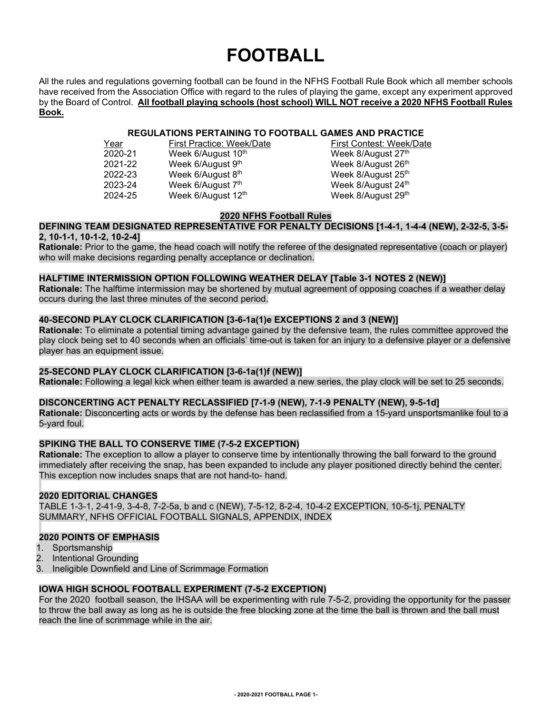## **FOOTBALL**

All the rules and regulations governing football can be found in the NFHS Football Rule Book which all member schools have received from the Association Office with regard to the rules of playing the game, except any experiment approved by the Board of Control. **All football playing schools (host school) WILL NOT receive a 2020 NFHS Football Rules Book.**

### **REGULATIONS PERTAINING TO FOOTBALL GAMES AND PRACTICE**<br>First Practice: Week/Date First Contest: Week/Date

Year First Practice: Week/Date First Contest: Week<br>
2020-21 Week 6/August 10<sup>th</sup> **Example 2020-21** Week 8/August 27<sup>th</sup> Week 6/August 10<sup>th</sup><br>Week 6/August 9<sup>th</sup> 2021-22 Week 6/August 9<sup>th</sup> Week 8/August 26<sup>th</sup> 2022-23 Week 6/August 8<sup>th</sup> Week 8/August 25<sup>th</sup> 2022-23 Week 6/August 8<sup>th</sup> Week 8/August 25<sup>th</sup> 2023-24 Week 6/August 24<sup>th</sup> 2024-25 Week 6/August 12<sup>th</sup> Week 8/August 29<sup>th</sup>

Week 8/August 24th

#### **2020 NFHS Football Rules**

#### **DEFINING TEAM DESIGNATED REPRESENTATIVE FOR PENALTY DECISIONS [1-4-1, 1-4-4 (NEW), 2-32-5, 3-5- 2, 10-1-1, 10-1-2, 10-2-4]**

**Rationale:** Prior to the game, the head coach will notify the referee of the designated representative (coach or player) who will make decisions regarding penalty acceptance or declination.

#### **HALFTIME INTERMISSION OPTION FOLLOWING WEATHER DELAY [Table 3-1 NOTES 2 (NEW)]**

**Rationale:** The halftime intermission may be shortened by mutual agreement of opposing coaches if a weather delay occurs during the last three minutes of the second period.

#### **40-SECOND PLAY CLOCK CLARIFICATION [3-6-1a(1)e EXCEPTIONS 2 and 3 (NEW)]**

**Rationale:** To eliminate a potential timing advantage gained by the defensive team, the rules committee approved the play clock being set to 40 seconds when an officials' time-out is taken for an injury to a defensive player or a defensive player has an equipment issue.

#### **25-SECOND PLAY CLOCK CLARIFICATION [3-6-1a(1)f (NEW)]**

**Rationale:** Following a legal kick when either team is awarded a new series, the play clock will be set to 25 seconds.

#### **DISCONCERTING ACT PENALTY RECLASSIFIED [7-1-9 (NEW), 7-1-9 PENALTY (NEW), 9-5-1d]**

**Rationale:** Disconcerting acts or words by the defense has been reclassified from a 15-yard unsportsmanlike foul to a 5-yard foul.

#### **SPIKING THE BALL TO CONSERVE TIME (7-5-2 EXCEPTION)**

**Rationale:** The exception to allow a player to conserve time by intentionally throwing the ball forward to the ground immediately after receiving the snap, has been expanded to include any player positioned directly behind the center. This exception now includes snaps that are not hand-to- hand.

#### **2020 EDITORIAL CHANGES**

TABLE 1-3-1, 2-41-9, 3-4-8, 7-2-5a, b and c (NEW), 7-5-12, 8-2-4, 10-4-2 EXCEPTION, 10-5-1j, PENALTY SUMMARY, NFHS OFFICIAL FOOTBALL SIGNALS, APPENDIX, INDEX

#### **2020 POINTS OF EMPHASIS**

- 1. Sportsmanship
- 2. Intentional Grounding
- 3. Ineligible Downfield and Line of Scrimmage Formation

#### **IOWA HIGH SCHOOL FOOTBALL EXPERIMENT (7-5-2 EXCEPTION)**

For the 2020 football season, the IHSAA will be experimenting with rule 7-5-2, providing the opportunity for the passer to throw the ball away as long as he is outside the free blocking zone at the time the ball is thrown and the ball must reach the line of scrimmage while in the air.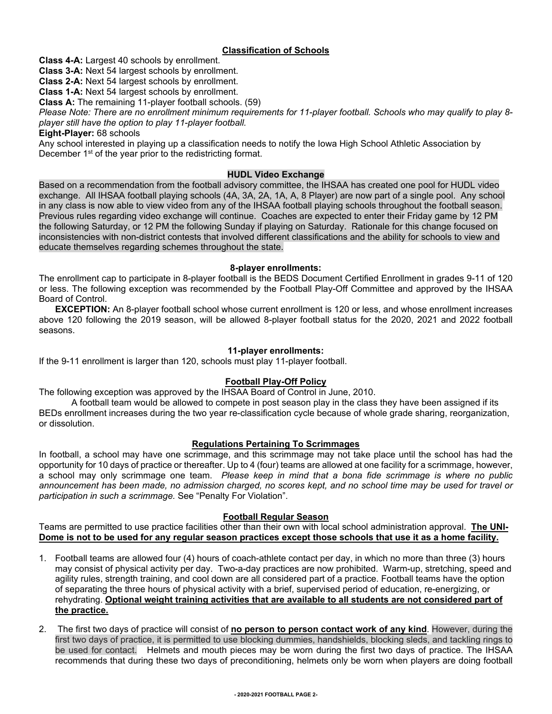#### **Classification of Schools**

**Class 4-A:** Largest 40 schools by enrollment.

**Class 3-A:** Next 54 largest schools by enrollment.

**Class 2-A:** Next 54 largest schools by enrollment.

**Class 1-A:** Next 54 largest schools by enrollment.

**Class A:** The remaining 11-player football schools. (59)

*Please Note: There are no enrollment minimum requirements for 11-player football. Schools who may qualify to play 8 player still have the option to play 11-player football.*

**Eight-Player:** 68 schools

Any school interested in playing up a classification needs to notify the Iowa High School Athletic Association by December 1<sup>st</sup> of the year prior to the redistricting format.

#### **HUDL Video Exchange**

Based on a recommendation from the football advisory committee, the IHSAA has created one pool for HUDL video exchange. All IHSAA football playing schools (4A, 3A, 2A, 1A, A, 8 Player) are now part of a single pool. Any school in any class is now able to view video from any of the IHSAA football playing schools throughout the football season. Previous rules regarding video exchange will continue. Coaches are expected to enter their Friday game by 12 PM the following Saturday, or 12 PM the following Sunday if playing on Saturday. Rationale for this change focused on inconsistencies with non-district contests that involved different classifications and the ability for schools to view and educate themselves regarding schemes throughout the state.

#### **8-player enrollments:**

The enrollment cap to participate in 8-player football is the BEDS Document Certified Enrollment in grades 9-11 of 120 or less. The following exception was recommended by the Football Play-Off Committee and approved by the IHSAA Board of Control.

**EXCEPTION:** An 8-player football school whose current enrollment is 120 or less, and whose enrollment increases above 120 following the 2019 season, will be allowed 8-player football status for the 2020, 2021 and 2022 football seasons.

#### **11-player enrollments:**

If the 9-11 enrollment is larger than 120, schools must play 11-player football.

#### **Football Play-Off Policy**

The following exception was approved by the IHSAA Board of Control in June, 2010.

A football team would be allowed to compete in post season play in the class they have been assigned if its BEDs enrollment increases during the two year re-classification cycle because of whole grade sharing, reorganization, or dissolution.

#### **Regulations Pertaining To Scrimmages**

In football, a school may have one scrimmage, and this scrimmage may not take place until the school has had the opportunity for 10 days of practice or thereafter. Up to 4 (four) teams are allowed at one facility for a scrimmage, however, a school may only scrimmage one team. *Please keep in mind that a bona fide scrimmage is where no public announcement has been made, no admission charged, no scores kept, and no school time may be used for travel or participation in such a scrimmage.* See "Penalty For Violation".

#### **Football Regular Season**

Teams are permitted to use practice facilities other than their own with local school administration approval. **The UNI-Dome is not to be used for any regular season practices except those schools that use it as a home facility.**

- 1. Football teams are allowed four (4) hours of coach-athlete contact per day, in which no more than three (3) hours may consist of physical activity per day. Two-a-day practices are now prohibited. Warm-up, stretching, speed and agility rules, strength training, and cool down are all considered part of a practice. Football teams have the option of separating the three hours of physical activity with a brief, supervised period of education, re-energizing, or rehydrating. **Optional weight training activities that are available to all students are not considered part of the practice.**
- 2. The first two days of practice will consist of **no person to person contact work of any kind**. However, during the first two days of practice, it is permitted to use blocking dummies, handshields, blocking sleds, and tackling rings to be used for contact. Helmets and mouth pieces may be worn during the first two days of practice. The IHSAA recommends that during these two days of preconditioning, helmets only be worn when players are doing football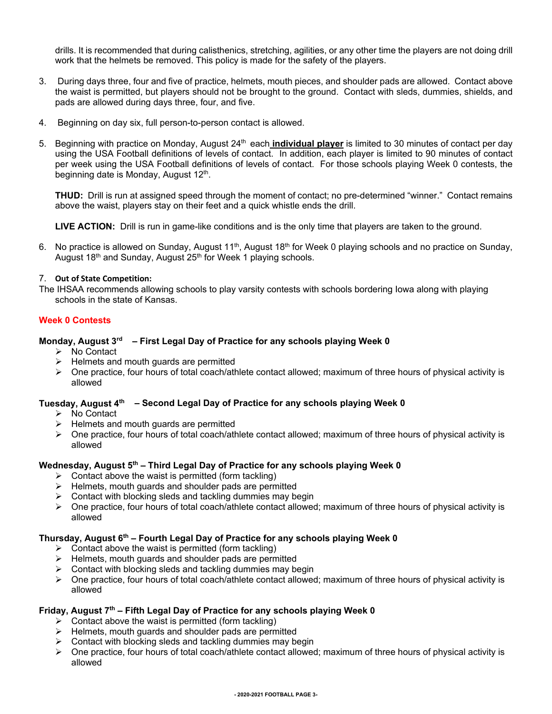drills. It is recommended that during calisthenics, stretching, agilities, or any other time the players are not doing drill work that the helmets be removed. This policy is made for the safety of the players.

- 3. During days three, four and five of practice, helmets, mouth pieces, and shoulder pads are allowed. Contact above the waist is permitted, but players should not be brought to the ground. Contact with sleds, dummies, shields, and pads are allowed during days three, four, and five.
- 4. Beginning on day six, full person-to-person contact is allowed.
- 5. Beginning with practice on Monday, August 24<sup>th</sup> each **individual player** is limited to 30 minutes of contact per day using the USA Football definitions of levels of contact. In addition, each player is limited to 90 minutes of contact per week using the USA Football definitions of levels of contact. For those schools playing Week 0 contests, the beginning date is Monday, August 12<sup>th</sup>.

**THUD:** Drill is run at assigned speed through the moment of contact; no pre-determined "winner." Contact remains above the waist, players stay on their feet and a quick whistle ends the drill.

**LIVE ACTION:** Drill is run in game-like conditions and is the only time that players are taken to the ground.

6. No practice is allowed on Sunday, August  $11^{th}$ , August  $18^{th}$  for Week 0 playing schools and no practice on Sunday, August 18<sup>th</sup> and Sunday, August 25<sup>th</sup> for Week 1 playing schools.

#### 7. **Out of State Competition:**

The IHSAA recommends allowing schools to play varsity contests with schools bordering Iowa along with playing schools in the state of Kansas.

#### **Week 0 Contests**

#### **Monday, August 3rd – First Legal Day of Practice for any schools playing Week 0**

- $\triangleright$  No Contact
- $\triangleright$  Helmets and mouth guards are permitted
- One practice, four hours of total coach/athlete contact allowed; maximum of three hours of physical activity is allowed

#### **Tuesday, August 4th – Second Legal Day of Practice for any schools playing Week 0**

- $\triangleright$  No Contact
- $\triangleright$  Helmets and mouth guards are permitted
- $\triangleright$  One practice, four hours of total coach/athlete contact allowed; maximum of three hours of physical activity is allowed

#### **Wednesday, August 5th – Third Legal Day of Practice for any schools playing Week 0**

- $\triangleright$  Contact above the waist is permitted (form tackling)
- $\triangleright$  Helmets, mouth guards and shoulder pads are permitted
- $\triangleright$  Contact with blocking sleds and tackling dummies may begin
- One practice, four hours of total coach/athlete contact allowed; maximum of three hours of physical activity is allowed

#### **Thursday, August 6th – Fourth Legal Day of Practice for any schools playing Week 0**

- $\triangleright$  Contact above the waist is permitted (form tackling)
- $\triangleright$  Helmets, mouth guards and shoulder pads are permitted
- $\triangleright$  Contact with blocking sleds and tackling dummies may begin
- One practice, four hours of total coach/athlete contact allowed; maximum of three hours of physical activity is allowed

#### **Friday, August 7th – Fifth Legal Day of Practice for any schools playing Week 0**

- $\triangleright$  Contact above the waist is permitted (form tackling)
- $\triangleright$  Helmets, mouth guards and shoulder pads are permitted
- $\triangleright$  Contact with blocking sleds and tackling dummies may begin
- > One practice, four hours of total coach/athlete contact allowed; maximum of three hours of physical activity is allowed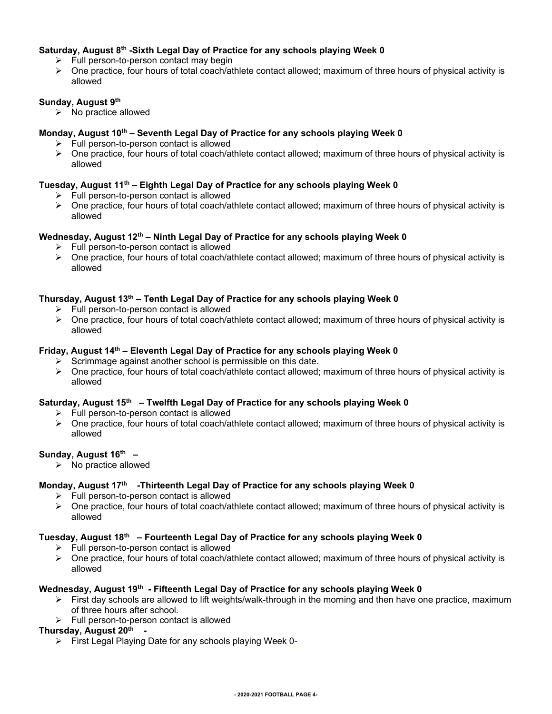#### **Saturday, August 8th -Sixth Legal Day of Practice for any schools playing Week 0**

- $\triangleright$  Full person-to-person contact may begin
- One practice, four hours of total coach/athlete contact allowed; maximum of three hours of physical activity is allowed

#### **Sunday, August 9th**

 $\triangleright$  No practice allowed

#### **Monday, August 10th – Seventh Legal Day of Practice for any schools playing Week 0**

- $\triangleright$  Full person-to-person contact is allowed
- One practice, four hours of total coach/athlete contact allowed; maximum of three hours of physical activity is allowed

#### **Tuesday, August 11th – Eighth Legal Day of Practice for any schools playing Week 0**

- $\triangleright$  Full person-to-person contact is allowed
- One practice, four hours of total coach/athlete contact allowed; maximum of three hours of physical activity is allowed

#### **Wednesday, August 12th – Ninth Legal Day of Practice for any schools playing Week 0**

- $\triangleright$  Full person-to-person contact is allowed
- One practice, four hours of total coach/athlete contact allowed; maximum of three hours of physical activity is allowed

#### **Thursday, August 13th – Tenth Legal Day of Practice for any schools playing Week 0**

- $\triangleright$  Full person-to-person contact is allowed
- $\triangleright$  One practice, four hours of total coach/athlete contact allowed; maximum of three hours of physical activity is allowed

#### **Friday, August 14th – Eleventh Legal Day of Practice for any schools playing Week 0**

- $\triangleright$  Scrimmage against another school is permissible on this date.
- $\triangleright$  One practice, four hours of total coach/athlete contact allowed; maximum of three hours of physical activity is allowed

#### **Saturday, August 15th – Twelfth Legal Day of Practice for any schools playing Week 0**

- $\triangleright$  Full person-to-person contact is allowed
- $\triangleright$  One practice, four hours of total coach/athlete contact allowed; maximum of three hours of physical activity is allowed

#### **Sunday, August 16th –**

 $\triangleright$  No practice allowed

#### Monday, August 17<sup>th</sup> -Thirteenth Legal Day of Practice for any schools playing Week 0

- $\triangleright$  Full person-to-person contact is allowed
- $\triangleright$  One practice, four hours of total coach/athlete contact allowed; maximum of three hours of physical activity is allowed

#### **Tuesday, August 18th – Fourteenth Legal Day of Practice for any schools playing Week 0**

- $\triangleright$  Full person-to-person contact is allowed
- $\triangleright$  One practice, four hours of total coach/athlete contact allowed; maximum of three hours of physical activity is allowed

#### **Wednesday, August 19th - Fifteenth Legal Day of Practice for any schools playing Week 0**

- $\triangleright$  First day schools are allowed to lift weights/walk-through in the morning and then have one practice, maximum of three hours after school.
- $\triangleright$  Full person-to-person contact is allowed

#### **Thursday, August 20th -**

First Legal Playing Date for any schools playing Week 0-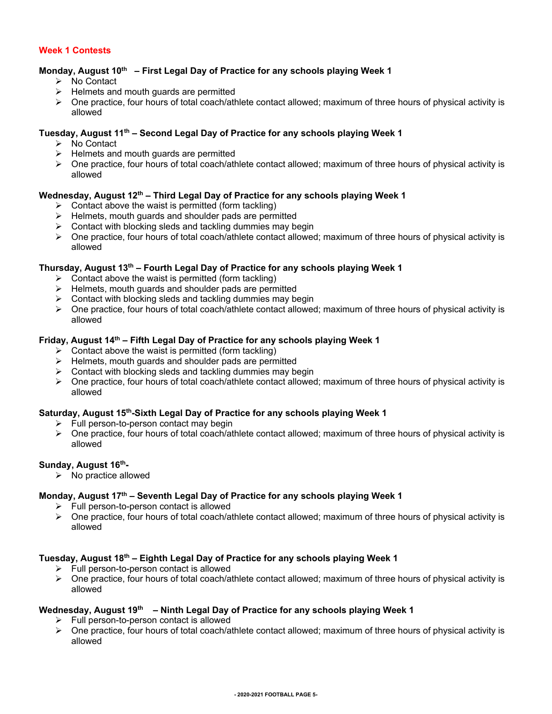#### **Week 1 Contests**

#### **Monday, August 10th – First Legal Day of Practice for any schools playing Week 1**

- ▶ No Contact
- $\triangleright$  Helmets and mouth guards are permitted
- One practice, four hours of total coach/athlete contact allowed; maximum of three hours of physical activity is allowed

#### **Tuesday, August 11th – Second Legal Day of Practice for any schools playing Week 1**

- **▶ No Contact**
- $\triangleright$  Helmets and mouth guards are permitted
- $\triangleright$  One practice, four hours of total coach/athlete contact allowed; maximum of three hours of physical activity is allowed

#### **Wednesday, August 12th – Third Legal Day of Practice for any schools playing Week 1**

- $\triangleright$  Contact above the waist is permitted (form tackling)
- $\triangleright$  Helmets, mouth guards and shoulder pads are permitted
- $\triangleright$  Contact with blocking sleds and tackling dummies may begin
- One practice, four hours of total coach/athlete contact allowed; maximum of three hours of physical activity is allowed

#### **Thursday, August 13th – Fourth Legal Day of Practice for any schools playing Week 1**

- $\triangleright$  Contact above the waist is permitted (form tackling)
- $\triangleright$  Helmets, mouth guards and shoulder pads are permitted
- $\triangleright$  Contact with blocking sleds and tackling dummies may begin
- One practice, four hours of total coach/athlete contact allowed; maximum of three hours of physical activity is allowed

#### **Friday, August 14th – Fifth Legal Day of Practice for any schools playing Week 1**

- $\triangleright$  Contact above the waist is permitted (form tackling)
- $\triangleright$  Helmets, mouth guards and shoulder pads are permitted
- $\triangleright$  Contact with blocking sleds and tackling dummies may begin
- One practice, four hours of total coach/athlete contact allowed; maximum of three hours of physical activity is allowed

#### **Saturday, August 15th-Sixth Legal Day of Practice for any schools playing Week 1**

- $\triangleright$  Full person-to-person contact may begin
- $\triangleright$  One practice, four hours of total coach/athlete contact allowed; maximum of three hours of physical activity is allowed

#### Sunday, August 16<sup>th</sup>-

 $\triangleright$  No practice allowed

#### **Monday, August 17th – Seventh Legal Day of Practice for any schools playing Week 1**

- $\triangleright$  Full person-to-person contact is allowed
- $\triangleright$  One practice, four hours of total coach/athlete contact allowed; maximum of three hours of physical activity is allowed

#### **Tuesday, August 18th – Eighth Legal Day of Practice for any schools playing Week 1**

- $\triangleright$  Full person-to-person contact is allowed
- $\triangleright$  One practice, four hours of total coach/athlete contact allowed; maximum of three hours of physical activity is allowed

#### **Wednesday, August 19th – Ninth Legal Day of Practice for any schools playing Week 1**

- $\triangleright$  Full person-to-person contact is allowed
- $\triangleright$  One practice, four hours of total coach/athlete contact allowed; maximum of three hours of physical activity is allowed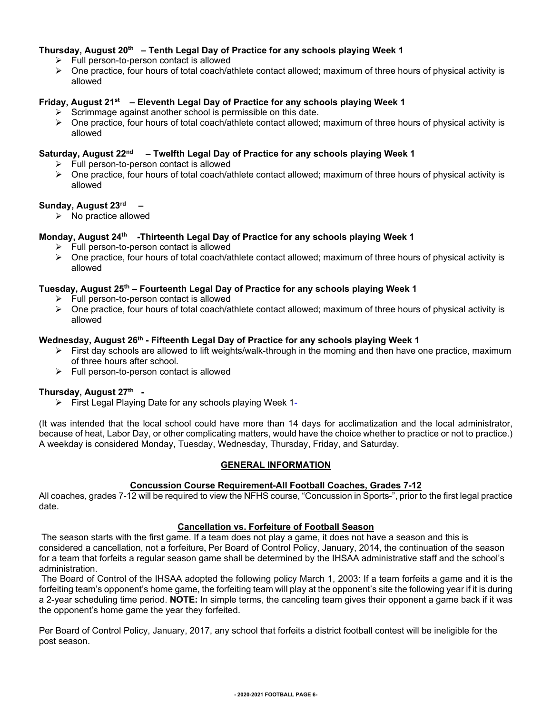#### **Thursday, August 20th – Tenth Legal Day of Practice for any schools playing Week 1**

- $\triangleright$  Full person-to-person contact is allowed
- $\triangleright$  One practice, four hours of total coach/athlete contact allowed; maximum of three hours of physical activity is allowed

#### **Friday, August 21st – Eleventh Legal Day of Practice for any schools playing Week 1**

- $\triangleright$  Scrimmage against another school is permissible on this date.
- $\triangleright$  One practice, four hours of total coach/athlete contact allowed; maximum of three hours of physical activity is allowed

#### **Saturday, August 22nd – Twelfth Legal Day of Practice for any schools playing Week 1**

- $\triangleright$  Full person-to-person contact is allowed
- $\triangleright$  One practice, four hours of total coach/athlete contact allowed; maximum of three hours of physical activity is allowed

#### **Sunday, August 23rd –**

 $\triangleright$  No practice allowed

#### **Monday, August 24th -Thirteenth Legal Day of Practice for any schools playing Week 1**

- $\triangleright$  Full person-to-person contact is allowed
- $\triangleright$  One practice, four hours of total coach/athlete contact allowed; maximum of three hours of physical activity is allowed

#### **Tuesday, August 25th – Fourteenth Legal Day of Practice for any schools playing Week 1**

- $\triangleright$  Full person-to-person contact is allowed
- One practice, four hours of total coach/athlete contact allowed; maximum of three hours of physical activity is allowed

#### **Wednesday, August 26th - Fifteenth Legal Day of Practice for any schools playing Week 1**

- $\triangleright$  First day schools are allowed to lift weights/walk-through in the morning and then have one practice, maximum of three hours after school.
- $\triangleright$  Full person-to-person contact is allowed

#### **Thursday, August 27th -**

First Legal Playing Date for any schools playing Week 1-

(It was intended that the local school could have more than 14 days for acclimatization and the local administrator, because of heat, Labor Day, or other complicating matters, would have the choice whether to practice or not to practice.) A weekday is considered Monday, Tuesday, Wednesday, Thursday, Friday, and Saturday.

#### **GENERAL INFORMATION**

#### **Concussion Course Requirement-All Football Coaches, Grades 7-12**

All coaches, grades 7-12 will be required to view the NFHS course, "Concussion in Sports-", prior to the first legal practice date.

#### **Cancellation vs. Forfeiture of Football Season**

The season starts with the first game. If a team does not play a game, it does not have a season and this is considered a cancellation, not a forfeiture, Per Board of Control Policy, January, 2014, the continuation of the season for a team that forfeits a regular season game shall be determined by the IHSAA administrative staff and the school's administration.

The Board of Control of the IHSAA adopted the following policy March 1, 2003: If a team forfeits a game and it is the forfeiting team's opponent's home game, the forfeiting team will play at the opponent's site the following year if it is during a 2-year scheduling time period. **NOTE:** In simple terms, the canceling team gives their opponent a game back if it was the opponent's home game the year they forfeited.

Per Board of Control Policy, January, 2017, any school that forfeits a district football contest will be ineligible for the post season.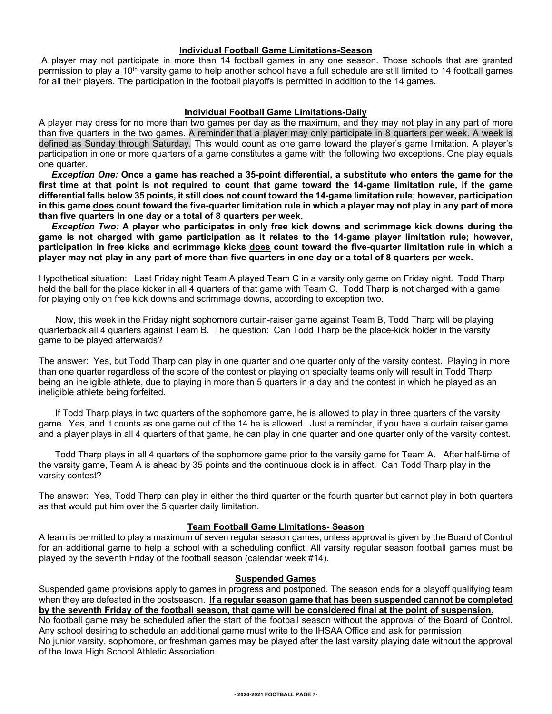#### **Individual Football Game Limitations-Season**

A player may not participate in more than 14 football games in any one season. Those schools that are granted permission to play a 10<sup>th</sup> varsity game to help another school have a full schedule are still limited to 14 football games for all their players. The participation in the football playoffs is permitted in addition to the 14 games.

#### **Individual Football Game Limitations-Daily**

A player may dress for no more than two games per day as the maximum, and they may not play in any part of more than five quarters in the two games. A reminder that a player may only participate in 8 quarters per week. A week is defined as Sunday through Saturday. This would count as one game toward the player's game limitation. A player's participation in one or more quarters of a game constitutes a game with the following two exceptions. One play equals one quarter.

 *Exception One:* **Once a game has reached a 35-point differential, a substitute who enters the game for the first time at that point is not required to count that game toward the 14-game limitation rule, if the game differential falls below 35 points, it still does not count toward the 14-game limitation rule; however, participation in this game does count toward the five-quarter limitation rule in which a player may not play in any part of more than five quarters in one day or a total of 8 quarters per week.**

 *Exception Two:* **A player who participates in only free kick downs and scrimmage kick downs during the game is not charged with game participation as it relates to the 14-game player limitation rule; however, participation in free kicks and scrimmage kicks does count toward the five-quarter limitation rule in which a player may not play in any part of more than five quarters in one day or a total of 8 quarters per week.**

Hypothetical situation: Last Friday night Team A played Team C in a varsity only game on Friday night. Todd Tharp held the ball for the place kicker in all 4 quarters of that game with Team C. Todd Tharp is not charged with a game for playing only on free kick downs and scrimmage downs, according to exception two.

Now, this week in the Friday night sophomore curtain-raiser game against Team B, Todd Tharp will be playing quarterback all 4 quarters against Team B. The question: Can Todd Tharp be the place-kick holder in the varsity game to be played afterwards?

The answer: Yes, but Todd Tharp can play in one quarter and one quarter only of the varsity contest. Playing in more than one quarter regardless of the score of the contest or playing on specialty teams only will result in Todd Tharp being an ineligible athlete, due to playing in more than 5 quarters in a day and the contest in which he played as an ineligible athlete being forfeited.

If Todd Tharp plays in two quarters of the sophomore game, he is allowed to play in three quarters of the varsity game. Yes, and it counts as one game out of the 14 he is allowed. Just a reminder, if you have a curtain raiser game and a player plays in all 4 quarters of that game, he can play in one quarter and one quarter only of the varsity contest.

Todd Tharp plays in all 4 quarters of the sophomore game prior to the varsity game for Team A. After half-time of the varsity game, Team A is ahead by 35 points and the continuous clock is in affect. Can Todd Tharp play in the varsity contest?

The answer: Yes, Todd Tharp can play in either the third quarter or the fourth quarter,but cannot play in both quarters as that would put him over the 5 quarter daily limitation.

#### **Team Football Game Limitations- Season**

A team is permitted to play a maximum of seven regular season games, unless approval is given by the Board of Control for an additional game to help a school with a scheduling conflict. All varsity regular season football games must be played by the seventh Friday of the football season (calendar week #14).

#### **Suspended Games**

Suspended game provisions apply to games in progress and postponed. The season ends for a playoff qualifying team when they are defeated in the postseason. **If a regular season game that has been suspended cannot be completed by the seventh Friday of the football season, that game will be considered final at the point of suspension.** No football game may be scheduled after the start of the football season without the approval of the Board of Control.

Any school desiring to schedule an additional game must write to the IHSAA Office and ask for permission. No junior varsity, sophomore, or freshman games may be played after the last varsity playing date without the approval of the Iowa High School Athletic Association.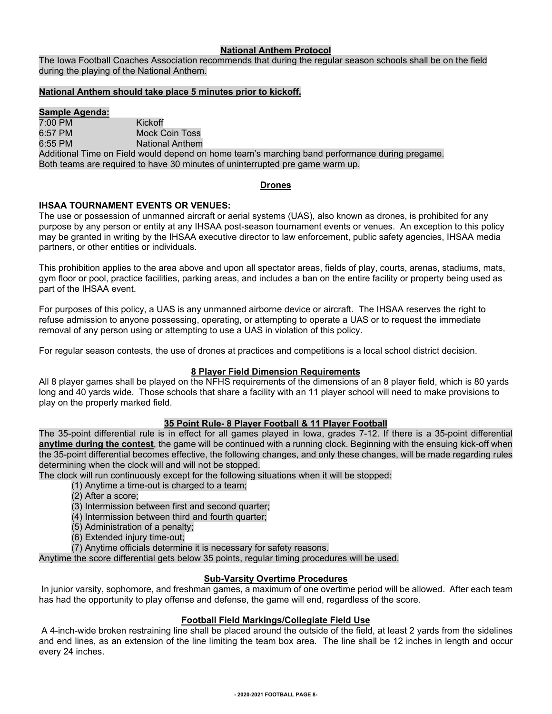#### **National Anthem Protocol**

The Iowa Football Coaches Association recommends that during the regular season schools shall be on the field during the playing of the National Anthem.

#### **National Anthem should take place 5 minutes prior to kickoff.**

#### **Sample Agenda:**

7:00 PM Kickoff 6:57 PM<br>6:55 PM Mock Coin Toss<br>National Anthem National Anthem Additional Time on Field would depend on home team's marching band performance during pregame. Both teams are required to have 30 minutes of uninterrupted pre game warm up.

#### **Drones**

#### **IHSAA TOURNAMENT EVENTS OR VENUES:**

The use or possession of unmanned aircraft or aerial systems (UAS), also known as drones, is prohibited for any purpose by any person or entity at any IHSAA post-season tournament events or venues. An exception to this policy may be granted in writing by the IHSAA executive director to law enforcement, public safety agencies, IHSAA media partners, or other entities or individuals.

This prohibition applies to the area above and upon all spectator areas, fields of play, courts, arenas, stadiums, mats, gym floor or pool, practice facilities, parking areas, and includes a ban on the entire facility or property being used as part of the IHSAA event.

For purposes of this policy, a UAS is any unmanned airborne device or aircraft. The IHSAA reserves the right to refuse admission to anyone possessing, operating, or attempting to operate a UAS or to request the immediate removal of any person using or attempting to use a UAS in violation of this policy.

For regular season contests, the use of drones at practices and competitions is a local school district decision.

#### **8 Player Field Dimension Requirements**

All 8 player games shall be played on the NFHS requirements of the dimensions of an 8 player field, which is 80 yards long and 40 yards wide. Those schools that share a facility with an 11 player school will need to make provisions to play on the properly marked field.

#### **35 Point Rule- 8 Player Football & 11 Player Football**

The 35-point differential rule is in effect for all games played in Iowa, grades 7-12. If there is a 35-point differential **anytime during the contest**, the game will be continued with a running clock. Beginning with the ensuing kick-off when the 35-point differential becomes effective, the following changes, and only these changes, will be made regarding rules determining when the clock will and will not be stopped.

The clock will run continuously except for the following situations when it will be stopped:

- (1) Anytime a time-out is charged to a team;
- (2) After a score;
- (3) Intermission between first and second quarter;
- (4) Intermission between third and fourth quarter;
- (5) Administration of a penalty;
- (6) Extended injury time-out;
- (7) Anytime officials determine it is necessary for safety reasons.

Anytime the score differential gets below 35 points, regular timing procedures will be used.

#### **Sub-Varsity Overtime Procedures**

In junior varsity, sophomore, and freshman games, a maximum of one overtime period will be allowed. After each team has had the opportunity to play offense and defense, the game will end, regardless of the score.

#### **Football Field Markings/Collegiate Field Use**

A 4-inch-wide broken restraining line shall be placed around the outside of the field, at least 2 yards from the sidelines and end lines, as an extension of the line limiting the team box area. The line shall be 12 inches in length and occur every 24 inches.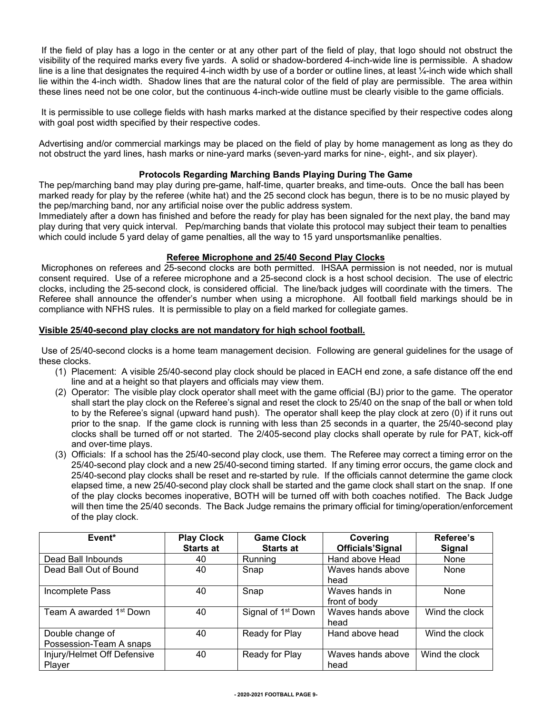If the field of play has a logo in the center or at any other part of the field of play, that logo should not obstruct the visibility of the required marks every five yards. A solid or shadow-bordered 4-inch-wide line is permissible. A shadow line is a line that designates the required 4-inch width by use of a border or outline lines, at least ¼-inch wide which shall lie within the 4-inch width. Shadow lines that are the natural color of the field of play are permissible. The area within these lines need not be one color, but the continuous 4-inch-wide outline must be clearly visible to the game officials.

It is permissible to use college fields with hash marks marked at the distance specified by their respective codes along with goal post width specified by their respective codes.

Advertising and/or commercial markings may be placed on the field of play by home management as long as they do not obstruct the yard lines, hash marks or nine-yard marks (seven-yard marks for nine-, eight-, and six player).

#### **Protocols Regarding Marching Bands Playing During The Game**

The pep/marching band may play during pre-game, half-time, quarter breaks, and time-outs. Once the ball has been marked ready for play by the referee (white hat) and the 25 second clock has begun, there is to be no music played by the pep/marching band, nor any artificial noise over the public address system.

Immediately after a down has finished and before the ready for play has been signaled for the next play, the band may play during that very quick interval. Pep/marching bands that violate this protocol may subject their team to penalties which could include 5 yard delay of game penalties, all the way to 15 yard unsportsmanlike penalties.

#### **Referee Microphone and 25/40 Second Play Clocks**

Microphones on referees and 25-second clocks are both permitted. IHSAA permission is not needed, nor is mutual consent required. Use of a referee microphone and a 25-second clock is a host school decision. The use of electric clocks, including the 25-second clock, is considered official. The line/back judges will coordinate with the timers. The Referee shall announce the offender's number when using a microphone. All football field markings should be in compliance with NFHS rules. It is permissible to play on a field marked for collegiate games.

#### **Visible 25/40-second play clocks are not mandatory for high school football.**

Use of 25/40-second clocks is a home team management decision. Following are general guidelines for the usage of these clocks.

- (1) Placement: A visible 25/40-second play clock should be placed in EACH end zone, a safe distance off the end line and at a height so that players and officials may view them.
- (2) Operator: The visible play clock operator shall meet with the game official (BJ) prior to the game. The operator shall start the play clock on the Referee's signal and reset the clock to 25/40 on the snap of the ball or when told to by the Referee's signal (upward hand push). The operator shall keep the play clock at zero (0) if it runs out prior to the snap. If the game clock is running with less than 25 seconds in a quarter, the 25/40-second play clocks shall be turned off or not started. The 2/405-second play clocks shall operate by rule for PAT, kick-off and over-time plays.
- (3) Officials: If a school has the 25/40-second play clock, use them. The Referee may correct a timing error on the 25/40-second play clock and a new 25/40-second timing started. If any timing error occurs, the game clock and 25/40-second play clocks shall be reset and re-started by rule. If the officials cannot determine the game clock elapsed time, a new 25/40-second play clock shall be started and the game clock shall start on the snap. If one of the play clocks becomes inoperative, BOTH will be turned off with both coaches notified. The Back Judge will then time the 25/40 seconds. The Back Judge remains the primary official for timing/operation/enforcement of the play clock.

| Event*                                      | <b>Play Clock</b><br><b>Starts at</b> | <b>Game Clock</b><br><b>Starts at</b> | Covering<br><b>Officials'Signal</b> | Referee's<br>Signal |  |
|---------------------------------------------|---------------------------------------|---------------------------------------|-------------------------------------|---------------------|--|
| Dead Ball Inbounds                          | 40                                    | Running                               | Hand above Head                     | None                |  |
| Dead Ball Out of Bound                      | 40                                    | Snap                                  | Waves hands above<br>head           | None                |  |
| Incomplete Pass                             | 40                                    | Snap                                  | Waves hands in<br>front of body     | None                |  |
| Team A awarded 1 <sup>st</sup> Down         | 40                                    | Signal of 1 <sup>st</sup> Down        | Waves hands above<br>head           | Wind the clock      |  |
| Double change of<br>Possession-Team A snaps | 40                                    | Ready for Play                        | Hand above head                     | Wind the clock      |  |
| Injury/Helmet Off Defensive<br>Player       | 40                                    | Ready for Play                        | Waves hands above<br>head           | Wind the clock      |  |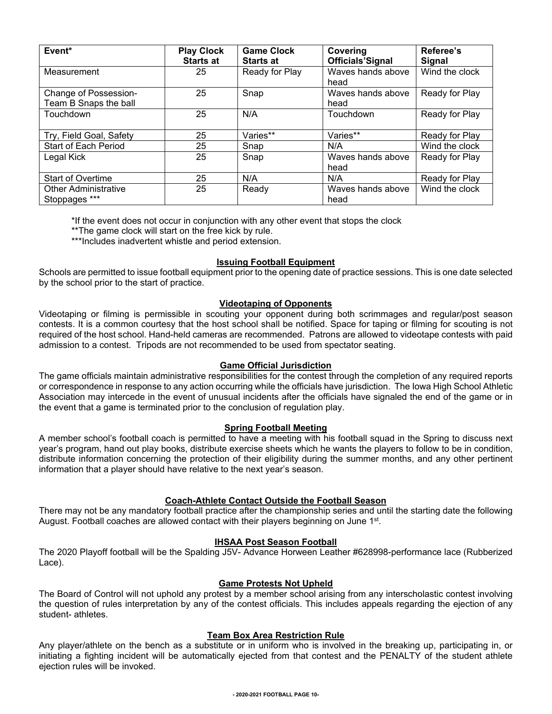| Event*                      | <b>Play Clock</b><br><b>Starts at</b> | <b>Game Clock</b><br><b>Starts at</b> | Covering<br><b>Officials'Signal</b> | Referee's<br><b>Signal</b> |
|-----------------------------|---------------------------------------|---------------------------------------|-------------------------------------|----------------------------|
| Measurement                 | 25                                    | Ready for Play                        | Waves hands above<br>head           | Wind the clock             |
| Change of Possession-       | 25                                    | Snap                                  | Waves hands above                   | Ready for Play             |
| Team B Snaps the ball       |                                       |                                       | head                                |                            |
| Touchdown                   | 25                                    | N/A                                   | Touchdown                           | Ready for Play             |
| Try, Field Goal, Safety     | 25                                    | Varies**                              | Varies**                            | Ready for Play             |
| <b>Start of Each Period</b> | 25                                    | Snap                                  | N/A                                 | Wind the clock             |
| Legal Kick                  | 25                                    | Snap                                  | Waves hands above                   | Ready for Play             |
|                             |                                       |                                       | head                                |                            |
| <b>Start of Overtime</b>    | 25                                    | N/A                                   | N/A                                 | Ready for Play             |
| <b>Other Administrative</b> | 25                                    | Ready                                 | Waves hands above                   | Wind the clock             |
| Stoppages ***               |                                       |                                       | head                                |                            |

\*If the event does not occur in conjunction with any other event that stops the clock

\*\*The game clock will start on the free kick by rule.

\*\*\*Includes inadvertent whistle and period extension.

#### **Issuing Football Equipment**

Schools are permitted to issue football equipment prior to the opening date of practice sessions. This is one date selected by the school prior to the start of practice.

#### **Videotaping of Opponents**

Videotaping or filming is permissible in scouting your opponent during both scrimmages and regular/post season contests. It is a common courtesy that the host school shall be notified. Space for taping or filming for scouting is not required of the host school. Hand-held cameras are recommended. Patrons are allowed to videotape contests with paid admission to a contest. Tripods are not recommended to be used from spectator seating.

#### **Game Official Jurisdiction**

The game officials maintain administrative responsibilities for the contest through the completion of any required reports or correspondence in response to any action occurring while the officials have jurisdiction. The Iowa High School Athletic Association may intercede in the event of unusual incidents after the officials have signaled the end of the game or in the event that a game is terminated prior to the conclusion of regulation play.

#### **Spring Football Meeting**

A member school's football coach is permitted to have a meeting with his football squad in the Spring to discuss next year's program, hand out play books, distribute exercise sheets which he wants the players to follow to be in condition, distribute information concerning the protection of their eligibility during the summer months, and any other pertinent information that a player should have relative to the next year's season.

#### **Coach-Athlete Contact Outside the Football Season**

There may not be any mandatory football practice after the championship series and until the starting date the following August. Football coaches are allowed contact with their players beginning on June 1<sup>st</sup>.

#### **IHSAA Post Season Football**

The 2020 Playoff football will be the Spalding J5V- Advance Horween Leather #628998-performance lace (Rubberized Lace).

#### **Game Protests Not Upheld**

The Board of Control will not uphold any protest by a member school arising from any interscholastic contest involving the question of rules interpretation by any of the contest officials. This includes appeals regarding the ejection of any student- athletes.

#### **Team Box Area Restriction Rule**

Any player/athlete on the bench as a substitute or in uniform who is involved in the breaking up, participating in, or initiating a fighting incident will be automatically ejected from that contest and the PENALTY of the student athlete ejection rules will be invoked.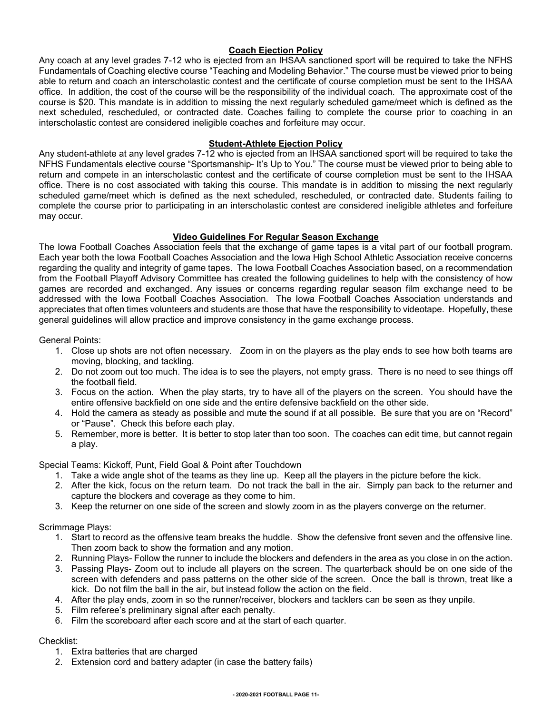#### **Coach Ejection Policy**

Any coach at any level grades 7-12 who is ejected from an IHSAA sanctioned sport will be required to take the NFHS Fundamentals of Coaching elective course "Teaching and Modeling Behavior." The course must be viewed prior to being able to return and coach an interscholastic contest and the certificate of course completion must be sent to the IHSAA office. In addition, the cost of the course will be the responsibility of the individual coach. The approximate cost of the course is \$20. This mandate is in addition to missing the next regularly scheduled game/meet which is defined as the next scheduled, rescheduled, or contracted date. Coaches failing to complete the course prior to coaching in an interscholastic contest are considered ineligible coaches and forfeiture may occur.

#### **Student-Athlete Ejection Policy**

Any student-athlete at any level grades 7-12 who is ejected from an IHSAA sanctioned sport will be required to take the NFHS Fundamentals elective course "Sportsmanship- It's Up to You." The course must be viewed prior to being able to return and compete in an interscholastic contest and the certificate of course completion must be sent to the IHSAA office. There is no cost associated with taking this course. This mandate is in addition to missing the next regularly scheduled game/meet which is defined as the next scheduled, rescheduled, or contracted date. Students failing to complete the course prior to participating in an interscholastic contest are considered ineligible athletes and forfeiture may occur.

#### **Video Guidelines For Regular Season Exchange**

The Iowa Football Coaches Association feels that the exchange of game tapes is a vital part of our football program. Each year both the Iowa Football Coaches Association and the Iowa High School Athletic Association receive concerns regarding the quality and integrity of game tapes. The Iowa Football Coaches Association based, on a recommendation from the Football Playoff Advisory Committee has created the following guidelines to help with the consistency of how games are recorded and exchanged. Any issues or concerns regarding regular season film exchange need to be addressed with the Iowa Football Coaches Association. The Iowa Football Coaches Association understands and appreciates that often times volunteers and students are those that have the responsibility to videotape. Hopefully, these general guidelines will allow practice and improve consistency in the game exchange process.

#### General Points:

- 1. Close up shots are not often necessary. Zoom in on the players as the play ends to see how both teams are moving, blocking, and tackling.
- 2. Do not zoom out too much. The idea is to see the players, not empty grass. There is no need to see things off the football field.
- 3. Focus on the action. When the play starts, try to have all of the players on the screen. You should have the entire offensive backfield on one side and the entire defensive backfield on the other side.
- 4. Hold the camera as steady as possible and mute the sound if at all possible. Be sure that you are on "Record" or "Pause". Check this before each play.
- 5. Remember, more is better. It is better to stop later than too soon. The coaches can edit time, but cannot regain a play.

Special Teams: Kickoff, Punt, Field Goal & Point after Touchdown

- 1. Take a wide angle shot of the teams as they line up. Keep all the players in the picture before the kick.
- 2. After the kick, focus on the return team. Do not track the ball in the air. Simply pan back to the returner and capture the blockers and coverage as they come to him.
- 3. Keep the returner on one side of the screen and slowly zoom in as the players converge on the returner.

#### Scrimmage Plays:

- 1. Start to record as the offensive team breaks the huddle. Show the defensive front seven and the offensive line. Then zoom back to show the formation and any motion.
- 2. Running Plays- Follow the runner to include the blockers and defenders in the area as you close in on the action.
- 3. Passing Plays- Zoom out to include all players on the screen. The quarterback should be on one side of the screen with defenders and pass patterns on the other side of the screen. Once the ball is thrown, treat like a kick. Do not film the ball in the air, but instead follow the action on the field.
- 4. After the play ends, zoom in so the runner/receiver, blockers and tacklers can be seen as they unpile.
- 5. Film referee's preliminary signal after each penalty.
- 6. Film the scoreboard after each score and at the start of each quarter.

#### Checklist:

- 1. Extra batteries that are charged
- 2. Extension cord and battery adapter (in case the battery fails)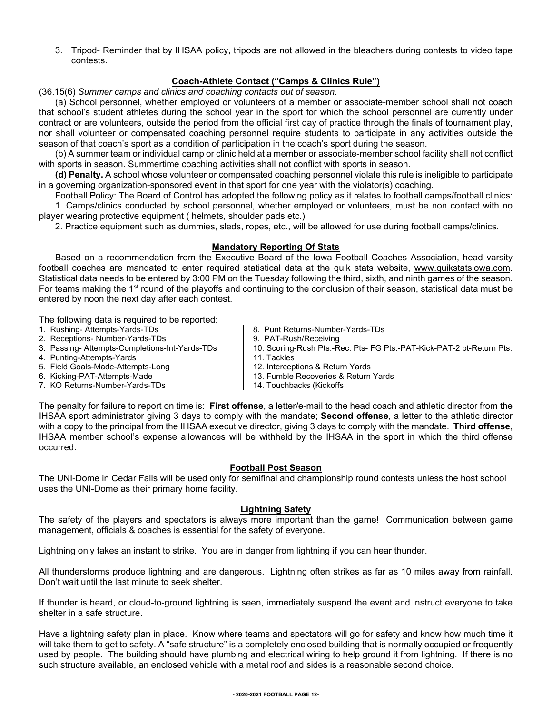3. Tripod- Reminder that by IHSAA policy, tripods are not allowed in the bleachers during contests to video tape contests.

#### **Coach-Athlete Contact ("Camps & Clinics Rule")**

(36.15(6) *Summer camps and clinics and coaching contacts out of season.*

(a) School personnel, whether employed or volunteers of a member or associate-member school shall not coach that school's student athletes during the school year in the sport for which the school personnel are currently under contract or are volunteers, outside the period from the official first day of practice through the finals of tournament play, nor shall volunteer or compensated coaching personnel require students to participate in any activities outside the season of that coach's sport as a condition of participation in the coach's sport during the season.

(b) A summer team or individual camp or clinic held at a member or associate-member school facility shall not conflict with sports in season. Summertime coaching activities shall not conflict with sports in season.

**(d) Penalty.** A school whose volunteer or compensated coaching personnel violate this rule is ineligible to participate in a governing organization-sponsored event in that sport for one year with the violator(s) coaching.

Football Policy: The Board of Control has adopted the following policy as it relates to football camps/football clinics: 1. Camps/clinics conducted by school personnel, whether employed or volunteers, must be non contact with no player wearing protective equipment ( helmets, shoulder pads etc.)

2. Practice equipment such as dummies, sleds, ropes, etc., will be allowed for use during football camps/clinics.

#### **Mandatory Reporting Of Stats**

Based on a recommendation from the Executive Board of the Iowa Football Coaches Association, head varsity football coaches are mandated to enter required statistical data at the quik stats website, [www.quikstatsiowa.com.](http://www.quikstatsiowa.com/) Statistical data needs to be entered by 3:00 PM on the Tuesday following the third, sixth, and ninth games of the season. For teams making the 1<sup>st</sup> round of the playoffs and continuing to the conclusion of their season, statistical data must be entered by noon the next day after each contest.

The following data is required to be reported:

- 1. Rushing- Attempts-Yards-TDs
- 2. Receptions- Number-Yards-TDs
- 3. Passing- Attempts-Completions-Int-Yards-TDs
- 4. Punting-Attempts-Yards
- 5. Field Goals-Made-Attempts-Long
- 6. Kicking-PAT-Attempts-Made
- 7. KO Returns-Number-Yards-TDs
- 8. Punt Returns-Number-Yards-TDs
- 9. PAT-Rush/Receiving
- 10. Scoring-Rush Pts.-Rec. Pts- FG Pts.-PAT-Kick-PAT-2 pt-Return Pts.
- 11. Tackles
- 12. Interceptions & Return Yards
- 13. Fumble Recoveries & Return Yards
- 14. Touchbacks (Kickoffs

The penalty for failure to report on time is: **First offense**, a letter/e-mail to the head coach and athletic director from the IHSAA sport administrator giving 3 days to comply with the mandate; **Second offense**, a letter to the athletic director with a copy to the principal from the IHSAA executive director, giving 3 days to comply with the mandate. **Third offense**, IHSAA member school's expense allowances will be withheld by the IHSAA in the sport in which the third offense occurred.

#### **Football Post Season**

The UNI-Dome in Cedar Falls will be used only for semifinal and championship round contests unless the host school uses the UNI-Dome as their primary home facility.

#### **Lightning Safety**

The safety of the players and spectators is always more important than the game! Communication between game management, officials & coaches is essential for the safety of everyone.

Lightning only takes an instant to strike. You are in danger from lightning if you can hear thunder.

All thunderstorms produce lightning and are dangerous. Lightning often strikes as far as 10 miles away from rainfall. Don't wait until the last minute to seek shelter.

If thunder is heard, or cloud-to-ground lightning is seen, immediately suspend the event and instruct everyone to take shelter in a safe structure.

Have a lightning safety plan in place. Know where teams and spectators will go for safety and know how much time it will take them to get to safety. A "safe structure" is a completely enclosed building that is normally occupied or frequently used by people. The building should have plumbing and electrical wiring to help ground it from lightning. If there is no such structure available, an enclosed vehicle with a metal roof and sides is a reasonable second choice.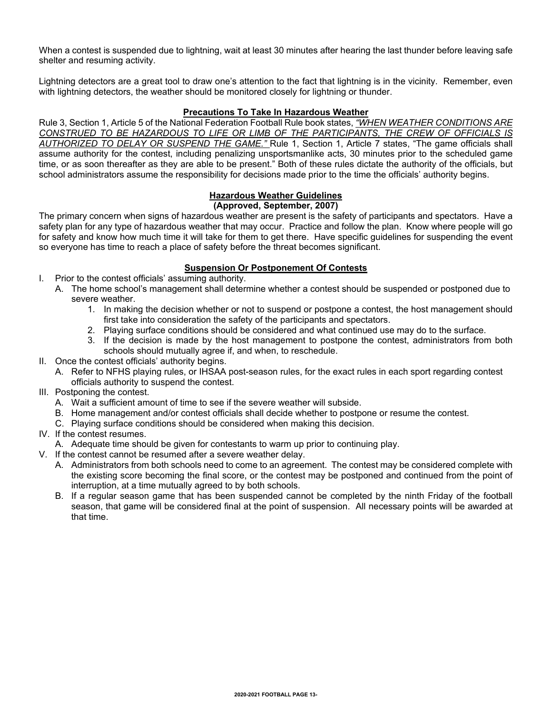When a contest is suspended due to lightning, wait at least 30 minutes after hearing the last thunder before leaving safe shelter and resuming activity.

Lightning detectors are a great tool to draw one's attention to the fact that lightning is in the vicinity. Remember, even with lightning detectors, the weather should be monitored closely for lightning or thunder.

#### **Precautions To Take In Hazardous Weather**

Rule 3, Section 1, Article 5 of the National Federation Football Rule book states, *"WHEN WEATHER CONDITIONS ARE CONSTRUED TO BE HAZARDOUS TO LIFE OR LIMB OF THE PARTICIPANTS, THE CREW OF OFFICIALS IS AUTHORIZED TO DELAY OR SUSPEND THE GAME."* Rule 1, Section 1, Article 7 states, "The game officials shall assume authority for the contest, including penalizing unsportsmanlike acts, 30 minutes prior to the scheduled game time, or as soon thereafter as they are able to be present." Both of these rules dictate the authority of the officials, but school administrators assume the responsibility for decisions made prior to the time the officials' authority begins.

#### **Hazardous Weather Guidelines**

#### **(Approved, September, 2007)**

The primary concern when signs of hazardous weather are present is the safety of participants and spectators. Have a safety plan for any type of hazardous weather that may occur. Practice and follow the plan. Know where people will go for safety and know how much time it will take for them to get there. Have specific guidelines for suspending the event so everyone has time to reach a place of safety before the threat becomes significant.

#### **Suspension Or Postponement Of Contests**

- I. Prior to the contest officials' assuming authority.
	- A. The home school's management shall determine whether a contest should be suspended or postponed due to severe weather.
		- 1. In making the decision whether or not to suspend or postpone a contest, the host management should first take into consideration the safety of the participants and spectators.
		- 2. Playing surface conditions should be considered and what continued use may do to the surface.
		- 3. If the decision is made by the host management to postpone the contest, administrators from both schools should mutually agree if, and when, to reschedule.
- II. Once the contest officials' authority begins.
	- A. Refer to NFHS playing rules, or IHSAA post-season rules, for the exact rules in each sport regarding contest officials authority to suspend the contest.
- III. Postponing the contest.
	- A. Wait a sufficient amount of time to see if the severe weather will subside.
	- B. Home management and/or contest officials shall decide whether to postpone or resume the contest.
	- C. Playing surface conditions should be considered when making this decision.

#### IV. If the contest resumes.

A. Adequate time should be given for contestants to warm up prior to continuing play.

- V. If the contest cannot be resumed after a severe weather delay.
	- A. Administrators from both schools need to come to an agreement. The contest may be considered complete with the existing score becoming the final score, or the contest may be postponed and continued from the point of interruption, at a time mutually agreed to by both schools.
	- B. If a regular season game that has been suspended cannot be completed by the ninth Friday of the football season, that game will be considered final at the point of suspension. All necessary points will be awarded at that time.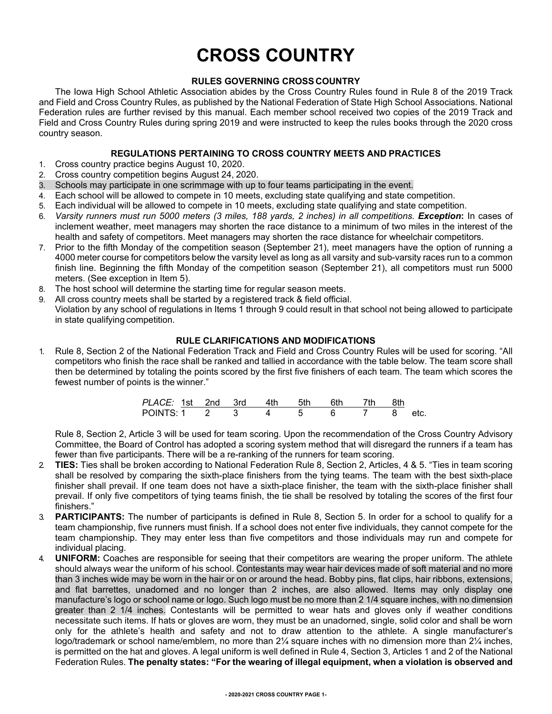## **CROSS COUNTRY**

#### **RULES GOVERNING CROSS COUNTRY**

The Iowa High School Athletic Association abides by the Cross Country Rules found in Rule 8 of the 2019 Track and Field and Cross Country Rules, as published by the National Federation of State High School Associations. National Federation rules are further revised by this manual. Each member school received two copies of the 2019 Track and Field and Cross Country Rules during spring 2019 and were instructed to keep the rules books through the 2020 cross country season.

#### **REGULATIONS PERTAINING TO CROSS COUNTRY MEETS AND PRACTICES**

- 1. Cross country practice begins August 10, 2020.
- 2. Cross country competition begins August 24, 2020.
- Schools may participate in one scrimmage with up to four teams participating in the event.
- 4. Each school will be allowed to compete in 10 meets, excluding state qualifying and state competition.
- 5. Each individual will be allowed to compete in 10 meets, excluding state qualifying and state competition.
- 6. *Varsity runners must run 5000 meters (3 miles, 188 yards, 2 inches) in all competitions. Exception***:** In cases of inclement weather, meet managers may shorten the race distance to a minimum of two miles in the interest of the health and safety of competitors. Meet managers may shorten the race distance for wheelchair competitors.
- 7. Prior to the fifth Monday of the competition season (September 21), meet managers have the option of running a 4000 meter course for competitors below the varsity level as long as all varsity and sub-varsity races run to a common finish line. Beginning the fifth Monday of the competition season (September 21), all competitors must run 5000 meters. (See exception in Item 5).
- 8. The host school will determine the starting time for regular season meets.
- 9. All cross country meets shall be started by a registered track & field official. Violation by any school of regulations in Items 1 through 9 could result in that school not being allowed to participate in state qualifying competition.

#### **RULE CLARIFICATIONS AND MODIFICATIONS**

1. Rule 8, Section 2 of the National Federation Track and Field and Cross Country Rules will be used for scoring. "All competitors who finish the race shall be ranked and tallied in accordance with the table below. The team score shall then be determined by totaling the points scored by the first five finishers of each team. The team which scores the fewest number of points is the winner."

| PLACE: 1st 2nd 3rd 4th |  |  | 5th | 6th | 7th |      |
|------------------------|--|--|-----|-----|-----|------|
| POINTS 1 2             |  |  |     |     |     | etc. |

Rule 8, Section 2, Article 3 will be used for team scoring. Upon the recommendation of the Cross Country Advisory Committee, the Board of Control has adopted a scoring system method that will disregard the runners if a team has fewer than five participants. There will be a re-ranking of the runners for team scoring.

- 2. **TIES:** Ties shall be broken according to National Federation Rule 8, Section 2, Articles, 4 & 5. "Ties in team scoring shall be resolved by comparing the sixth-place finishers from the tying teams. The team with the best sixth-place finisher shall prevail. If one team does not have a sixth-place finisher, the team with the sixth-place finisher shall prevail. If only five competitors of tying teams finish, the tie shall be resolved by totaling the scores of the first four finishers."
- 3. **PARTICIPANTS:** The number of participants is defined in Rule 8, Section 5. In order for a school to qualify for a team championship, five runners must finish. If a school does not enter five individuals, they cannot compete for the team championship. They may enter less than five competitors and those individuals may run and compete for individual placing.
- 4. **UNIFORM:** Coaches are responsible for seeing that their competitors are wearing the proper uniform. The athlete should always wear the uniform of his school. Contestants may wear hair devices made of soft material and no more than 3 inches wide may be worn in the hair or on or around the head. Bobby pins, flat clips, hair ribbons, extensions, and flat barrettes, unadorned and no longer than 2 inches, are also allowed. Items may only display one manufacture's logo or school name or logo. Such logo must be no more than 2 1/4 square inches, with no dimension greater than 2 1/4 inches. Contestants will be permitted to wear hats and gloves only if weather conditions necessitate such items. If hats or gloves are worn, they must be an unadorned, single, solid color and shall be worn only for the athlete's health and safety and not to draw attention to the athlete. A single manufacturer's logo/trademark or school name/emblem, no more than 2¼ square inches with no dimension more than 2¼ inches, is permitted on the hat and gloves. A legal uniform is well defined in Rule 4, Section 3, Articles 1 and 2 of the National Federation Rules. **The penalty states: "For the wearing of illegal equipment, when a violation is observed and**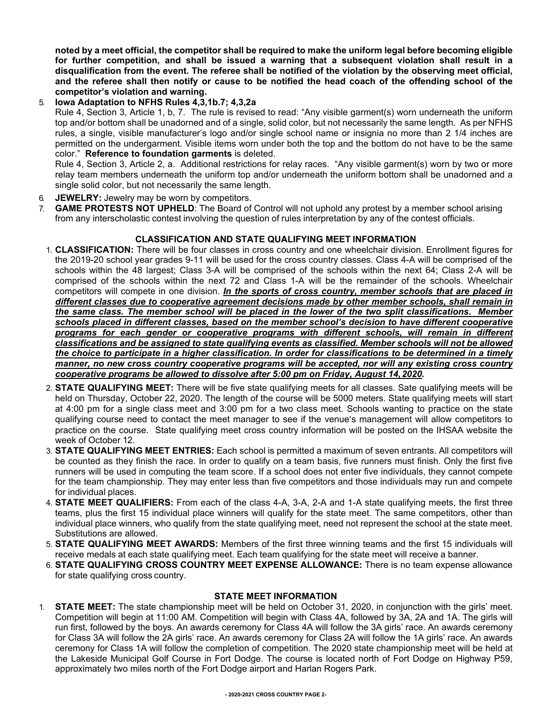**noted by a meet official, the competitor shall be required to make the uniform legal before becoming eligible for further competition, and shall be issued a warning that a subsequent violation shall result in a disqualification from the event. The referee shall be notified of the violation by the observing meet official, and the referee shall then notify or cause to be notified the head coach of the offending school of the competitor's violation and warning.** 

#### 5. **Iowa Adaptation to NFHS Rules 4,3,1b.7; 4,3,2a**

Rule 4, Section 3, Article 1, b, 7. The rule is revised to read: "Any visible garment(s) worn underneath the uniform top and/or bottom shall be unadorned and of a single, solid color, but not necessarily the same length. As per NFHS rules, a single, visible manufacturer's logo and/or single school name or insignia no more than 2 1/4 inches are permitted on the undergarment. Visible items worn under both the top and the bottom do not have to be the same color." **Reference to foundation garments** is deleted.

Rule 4, Section 3, Article 2, a. Additional restrictions for relay races. "Any visible garment(s) worn by two or more relay team members underneath the uniform top and/or underneath the uniform bottom shall be unadorned and a single solid color, but not necessarily the same length.

- 6. **JEWELRY:** Jewelry may be worn by competitors.
- 7. **GAME PROTESTS NOT UPHELD**: The Board of Control will not uphold any protest by a member school arising from any interscholastic contest involving the question of rules interpretation by any of the contest officials.

#### **CLASSIFICATION AND STATE QUALIFYING MEET INFORMATION**

- 1. **CLASSIFICATION:** There will be four classes in cross country and one wheelchair division. Enrollment figures for the 2019-20 school year grades 9-11 will be used for the cross country classes. Class 4-A will be comprised of the schools within the 48 largest; Class 3-A will be comprised of the schools within the next 64; Class 2-A will be comprised of the schools within the next 72 and Class 1-A will be the remainder of the schools. Wheelchair competitors will compete in one division. *In the sports of cross country, member schools that are placed in different classes due to cooperative agreement decisions made by other member schools, shall remain in the same class. The member school will be placed in the lower of the two split classifications. Member schools placed in different classes, based on the member school's decision to have different cooperative*  programs for each gender or cooperative programs with different schools, will remain in different *classifications and be assigned to state qualifying events as classified. Member schools will not be allowed the choice to participate in a higher classification. In order for classifications to be determined in a timely manner, no new cross country cooperative programs will be accepted, nor will any existing cross country cooperative programs be allowed to dissolve after 5:00 pm on Friday, August 14,2020.*
- 2. **STATE QUALIFYING MEET:** There will be five state qualifying meets for all classes. Sate qualifying meets will be held on Thursday, October 22, 2020. The length of the course will be 5000 meters. State qualifying meets will start at 4:00 pm for a single class meet and 3:00 pm for a two class meet. Schools wanting to practice on the state qualifying course need to contact the meet manager to see if the venue's management will allow competitors to practice on the course. State qualifying meet cross country information will be posted on the IHSAA website the week of October 12.
- 3. **STATE QUALIFYING MEET ENTRIES:** Each school is permitted a maximum of seven entrants. All competitors will be counted as they finish the race. In order to qualify on a team basis, five runners must finish. Only the first five runners will be used in computing the team score. If a school does not enter five individuals, they cannot compete for the team championship. They may enter less than five competitors and those individuals may run and compete for individual places.
- 4. **STATE MEET QUALIFIERS:** From each of the class 4-A, 3-A, 2-A and 1-A state qualifying meets, the first three teams, plus the first 15 individual place winners will qualify for the state meet. The same competitors, other than individual place winners, who qualify from the state qualifying meet, need not represent the school at the state meet. Substitutions are allowed.
- 5. **STATE QUALIFYING MEET AWARDS:** Members of the first three winning teams and the first 15 individuals will receive medals at each state qualifying meet. Each team qualifying for the state meet will receive a banner.
- 6. **STATE QUALIFYING CROSS COUNTRY MEET EXPENSE ALLOWANCE:** There is no team expense allowance for state qualifying cross country.

#### **STATE MEET INFORMATION**

1. **STATE MEET:** The state championship meet will be held on October 31, 2020, in conjunction with the girls' meet. Competition will begin at 11:00 AM. Competition will begin with Class 4A, followed by 3A, 2A and 1A. The girls will run first, followed by the boys. An awards ceremony for Class 4A will follow the 3A girls' race. An awards ceremony for Class 3A will follow the 2A girls' race. An awards ceremony for Class 2A will follow the 1A girls' race. An awards ceremony for Class 1A will follow the completion of competition. The 2020 state championship meet will be held at the Lakeside Municipal Golf Course in Fort Dodge. The course is located north of Fort Dodge on Highway P59, approximately two miles north of the Fort Dodge airport and Harlan Rogers Park.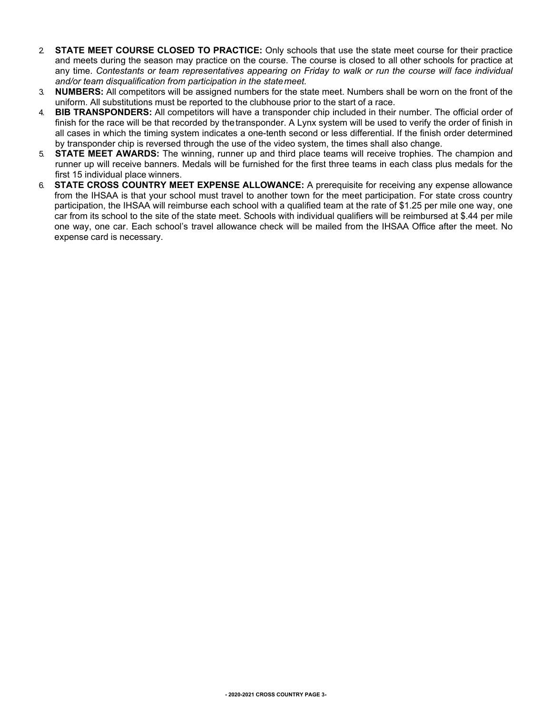- 2. **STATE MEET COURSE CLOSED TO PRACTICE:** Only schools that use the state meet course for their practice and meets during the season may practice on the course. The course is closed to all other schools for practice at any time. *Contestants or team representatives appearing on Friday to walk or run the course will face individual and/or team disqualification from participation in the statemeet.*
- 3. **NUMBERS:** All competitors will be assigned numbers for the state meet. Numbers shall be worn on the front of the uniform. All substitutions must be reported to the clubhouse prior to the start of a race.
- 4. **BIB TRANSPONDERS:** All competitors will have a transponder chip included in their number. The official order of finish for the race will be that recorded by the transponder. A Lynx system will be used to verify the order of finish in all cases in which the timing system indicates a one-tenth second or less differential. If the finish order determined by transponder chip is reversed through the use of the video system, the times shall also change.
- 5. **STATE MEET AWARDS:** The winning, runner up and third place teams will receive trophies. The champion and runner up will receive banners. Medals will be furnished for the first three teams in each class plus medals for the first 15 individual place winners.
- 6. **STATE CROSS COUNTRY MEET EXPENSE ALLOWANCE:** A prerequisite for receiving any expense allowance from the IHSAA is that your school must travel to another town for the meet participation. For state cross country participation, the IHSAA will reimburse each school with a qualified team at the rate of \$1.25 per mile one way, one car from its school to the site of the state meet. Schools with individual qualifiers will be reimbursed at \$.44 per mile one way, one car. Each school's travel allowance check will be mailed from the IHSAA Office after the meet. No expense card is necessary.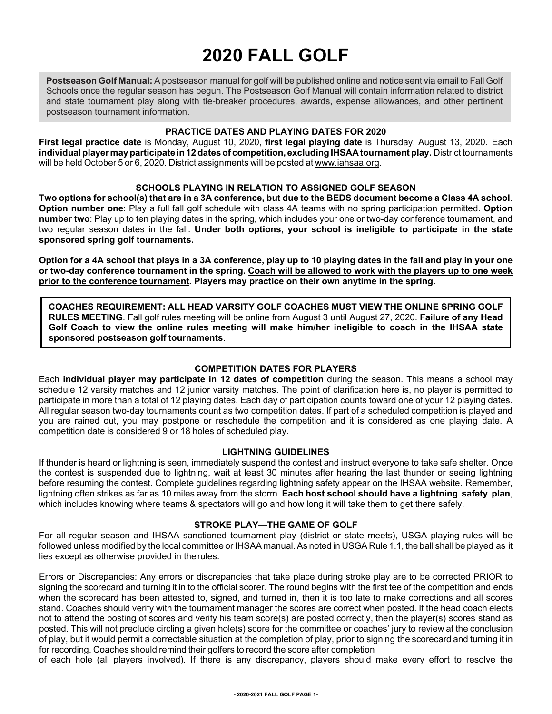## **2020 FALL GOLF**

**Postseason Golf Manual:** A postseason manual for golf will be published online and notice sent via email to Fall Golf Schools once the regular season has begun. The Postseason Golf Manual will contain information related to district and state tournament play along with tie-breaker procedures, awards, expense allowances, and other pertinent postseason tournament information.

#### **PRACTICE DATES AND PLAYING DATES FOR 2020**

**First legal practice date** is Monday, August 10, 2020, **first legal playing date** is Thursday, August 13, 2020. Each **individualplayer mayparticipate in 12 datesof competition, excluding IHSAA tournamentplay.** District tournaments will be held October 5 or 6, 2020. District assignments will be posted at [www.iahsaa.org.](http://www.iahsaa.org/)

#### **SCHOOLS PLAYING IN RELATION TO ASSIGNED GOLF SEASON**

**Two options for school(s) that are in a 3A conference, but due to the BEDS document become a Class 4A school**. **Option number one**: Play a full fall golf schedule with class 4A teams with no spring participation permitted. **Option number two**: Play up to ten playing dates in the spring, which includes your one or two-day conference tournament, and two regular season dates in the fall. **Under both options, your school is ineligible to participate in the state sponsored spring golf tournaments.**

**Option for a 4A school that plays in a 3A conference, play up to 10 playing dates in the fall and play in your one or two-day conference tournament in the spring. Coach will be allowed to work with the players up to one week prior to the conference tournament. Players may practice on their own anytime in the spring.**

**COACHES REQUIREMENT: ALL HEAD VARSITY GOLF COACHES MUST VIEW THE ONLINE SPRING GOLF RULES MEETING**. Fall golf rules meeting will be online from August 3 until August 27, 2020. **Failure of any Head Golf Coach to view the online rules meeting will make him/her ineligible to coach in the IHSAA state sponsored postseason golf tournaments**.

#### **COMPETITION DATES FOR PLAYERS**

Each **individual player may participate in 12 dates of competition** during the season. This means a school may schedule 12 varsity matches and 12 junior varsity matches. The point of clarification here is, no player is permitted to participate in more than a total of 12 playing dates. Each day of participation counts toward one of your 12 playing dates. All regular season two-day tournaments count as two competition dates. If part of a scheduled competition is played and you are rained out, you may postpone or reschedule the competition and it is considered as one playing date. A competition date is considered 9 or 18 holes of scheduled play.

#### **LIGHTNING GUIDELINES**

If thunder is heard or lightning is seen, immediately suspend the contest and instruct everyone to take safe shelter. Once the contest is suspended due to lightning, wait at least 30 minutes after hearing the last thunder or seeing lightning before resuming the contest. Complete guidelines regarding lightning safety appear on the IHSAA website. Remember, lightning often strikes as far as 10 miles away from the storm. **Each host school should have a lightning safety plan**, which includes knowing where teams & spectators will go and how long it will take them to get there safely.

#### **STROKE PLAY—THE GAME OF GOLF**

For all regular season and IHSAA sanctioned tournament play (district or state meets), USGA playing rules will be followed unless modified by the local committee or IHSAA manual. As noted in USGA Rule 1.1, the ball shall be played as it lies except as otherwise provided in therules.

Errors or Discrepancies: Any errors or discrepancies that take place during stroke play are to be corrected PRIOR to signing the scorecard and turning it in to the official scorer. The round begins with the first tee of the competition and ends when the scorecard has been attested to, signed, and turned in, then it is too late to make corrections and all scores stand. Coaches should verify with the tournament manager the scores are correct when posted. If the head coach elects not to attend the posting of scores and verify his team score(s) are posted correctly, then the player(s) scores stand as posted. This will not preclude circling a given hole(s) score for the committee or coaches' jury to review at the conclusion of play, but it would permit a correctable situation at the completion of play, prior to signing the scorecard and turning it in for recording. Coaches should remind their golfers to record the score after completion

of each hole (all players involved). If there is any discrepancy, players should make every effort to resolve the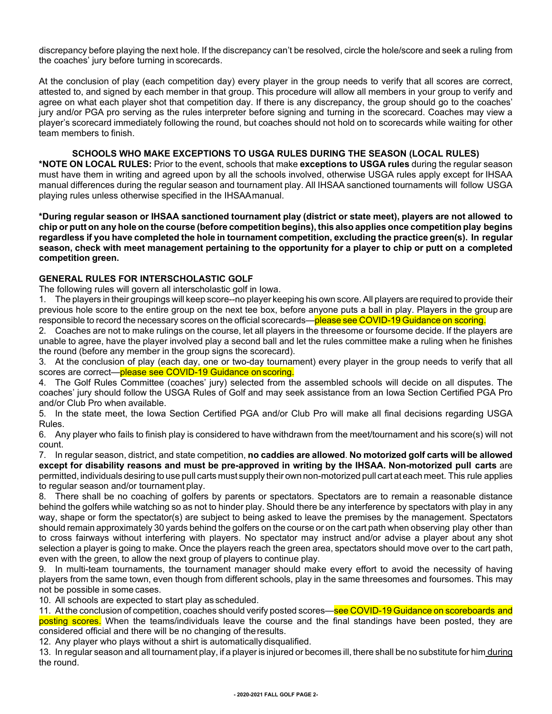discrepancy before playing the next hole. If the discrepancy can't be resolved, circle the hole/score and seek a ruling from the coaches' jury before turning in scorecards.

At the conclusion of play (each competition day) every player in the group needs to verify that all scores are correct, attested to, and signed by each member in that group. This procedure will allow all members in your group to verify and agree on what each player shot that competition day. If there is any discrepancy, the group should go to the coaches' jury and/or PGA pro serving as the rules interpreter before signing and turning in the scorecard. Coaches may view a player's scorecard immediately following the round, but coaches should not hold on to scorecards while waiting for other team members to finish.

#### **SCHOOLS WHO MAKE EXCEPTIONS TO USGA RULES DURING THE SEASON (LOCAL RULES)**

**\*NOTE ON LOCAL RULES:** Prior to the event, schools that make **exceptions to USGA rules** during the regular season must have them in writing and agreed upon by all the schools involved, otherwise USGA rules apply except for IHSAA manual differences during the regular season and tournament play. All IHSAA sanctioned tournaments will follow USGA playing rules unless otherwise specified in the IHSAAmanual.

\*During regular season or IHSAA sanctioned tournament play (district or state meet), players are not allowed to chip or putt on any hole on the course (before competition begins), this also applies once competition play begins **regardless if you have completed the hole in tournament competition, excluding the practice green(s). In regular** season, check with meet management pertaining to the opportunity for a player to chip or putt on a completed **competition green.**

#### **GENERAL RULES FOR INTERSCHOLASTIC GOLF**

The following rules will govern all interscholastic golf in Iowa.

1. The players in their groupings will keep score--no player keeping his own score.All players are required to provide their previous hole score to the entire group on the next tee box, before anyone puts a ball in play. Players in the group are responsible to record the necessary scores on the official scorecards—please see COVID-19 Guidance on scoring.

2. Coaches are not to make rulings on the course, let all players in the threesome or foursome decide. If the players are unable to agree, have the player involved play a second ball and let the rules committee make a ruling when he finishes the round (before any member in the group signs the scorecard).

3. At the conclusion of play (each day, one or two-day tournament) every player in the group needs to verify that all scores are correct—please see COVID-19 Guidance on scoring.

4. The Golf Rules Committee (coaches' jury) selected from the assembled schools will decide on all disputes. The coaches' jury should follow the USGA Rules of Golf and may seek assistance from an Iowa Section Certified PGA Pro and/or Club Pro when available.

5. In the state meet, the Iowa Section Certified PGA and/or Club Pro will make all final decisions regarding USGA Rules.

6. Any player who fails to finish play is considered to have withdrawn from the meet/tournament and his score(s) will not count.

7. In regular season, district, and state competition, **no caddies are allowed**. **No motorized golf carts will be allowed except for disability reasons and must be pre-approved in writing by the IHSAA. Non-motorized pull carts** are permitted, individuals desiring to use pull carts must supply their own non-motorized pull cart at each meet. This rule applies to regular season and/or tournament play.

8. There shall be no coaching of golfers by parents or spectators. Spectators are to remain a reasonable distance behind the golfers while watching so as not to hinder play. Should there be any interference by spectators with play in any way, shape or form the spectator(s) are subject to being asked to leave the premises by the management. Spectators should remain approximately 30 yards behind the golfers on the course or on the cart path when observing play other than to cross fairways without interfering with players. No spectator may instruct and/or advise a player about any shot selection a player is going to make. Once the players reach the green area, spectators should move over to the cart path, even with the green, to allow the next group of players to continue play.

9. In multi-team tournaments, the tournament manager should make every effort to avoid the necessity of having players from the same town, even though from different schools, play in the same threesomes and foursomes. This may not be possible in some cases.

10. All schools are expected to start play as scheduled.

11. At the conclusion of competition, coaches should verify posted scores—see COVID-19 Guidance on scoreboards and posting scores. When the teams/individuals leave the course and the final standings have been posted, they are considered official and there will be no changing of theresults.

12. Any player who plays without a shirt is automatically disqualified.

13. In regular season and all tournament play, if a player is injured or becomes ill, there shall be no substitute for him during the round.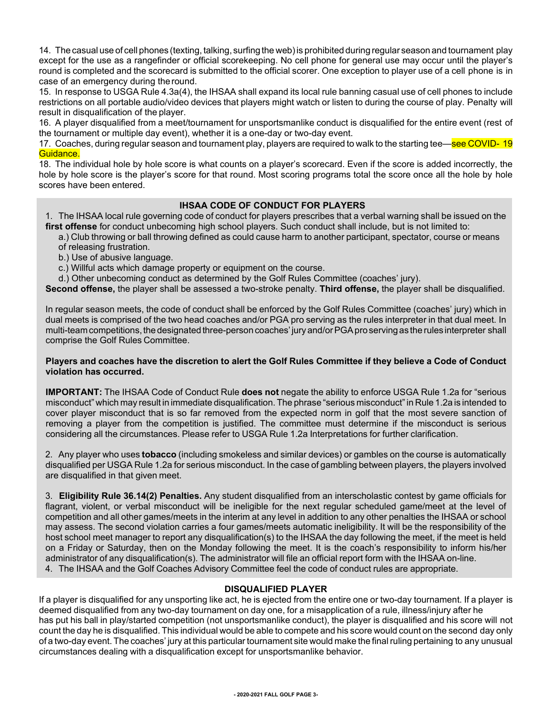14. The casual use of cell phones (texting, talking, surfing the web)is prohibited during regular season and tournament play except for the use as a rangefinder or official scorekeeping. No cell phone for general use may occur until the player's round is completed and the scorecard is submitted to the official scorer. One exception to player use of a cell phone is in case of an emergency during theround.

15. In response to USGA Rule 4.3a(4), the IHSAA shall expand its local rule banning casual use of cell phones to include restrictions on all portable audio/video devices that players might watch or listen to during the course of play. Penalty will result in disqualification of the player.

16. A player disqualified from a meet/tournament for unsportsmanlike conduct is disqualified for the entire event (rest of the tournament or multiple day event), whether it is a one-day or two-day event.

17. Coaches, during regular season and tournament play, players are required to walk to the starting tee—see COVID-19 Guidance.

18. The individual hole by hole score is what counts on a player's scorecard. Even if the score is added incorrectly, the hole by hole score is the player's score for that round. Most scoring programs total the score once all the hole by hole scores have been entered.

#### **IHSAA CODE OF CONDUCT FOR PLAYERS**

1. The IHSAA local rule governing code of conduct for players prescribes that a verbal warning shall be issued on the **first offense** for conduct unbecoming high school players. Such conduct shall include, but is not limited to:

a.) Club throwing or ball throwing defined as could cause harm to another participant, spectator, course or means of releasing frustration.

- b.) Use of abusive language.
- c.) Willful acts which damage property or equipment on the course.
- d.) Other unbecoming conduct as determined by the Golf Rules Committee (coaches' jury).

**Second offense,** the player shall be assessed a two-stroke penalty. **Third offense,** the player shall be disqualified.

In regular season meets, the code of conduct shall be enforced by the Golf Rules Committee (coaches' jury) which in dual meets is comprised of the two head coaches and/or PGA pro serving as the rules interpreter in that dual meet. In multi-team competitions, the designated three-person coaches' jury and/or PGA pro serving as the rules interpreter shall comprise the Golf Rules Committee.

#### Players and coaches have the discretion to alert the Golf Rules Committee if they believe a Code of Conduct **violation has occurred.**

**IMPORTANT:** The IHSAA Code of Conduct Rule **does not** negate the ability to enforce USGA Rule 1.2a for "serious misconduct" which may result in immediate disqualification.The phrase "serious misconduct"in Rule 1.2a is intended to cover player misconduct that is so far removed from the expected norm in golf that the most severe sanction of removing a player from the competition is justified. The committee must determine if the misconduct is serious considering all the circumstances. Please refer to USGA Rule 1.2a Interpretations for further clarification.

2. Any player who uses **tobacco** (including smokeless and similar devices) or gambles on the course is automatically disqualified per USGA Rule 1.2a for serious misconduct. In the case of gambling between players, the players involved are disqualified in that given meet.

3. **Eligibility Rule 36.14(2) Penalties.** Any student disqualified from an interscholastic contest by game officials for flagrant, violent, or verbal misconduct will be ineligible for the next regular scheduled game/meet at the level of competition and all other games/meets in the interim at any level in addition to any other penalties the IHSAA or school may assess. The second violation carries a four games/meets automatic ineligibility. It will be the responsibility of the host school meet manager to report any disqualification(s) to the IHSAA the day following the meet, if the meet is held on a Friday or Saturday, then on the Monday following the meet. It is the coach's responsibility to inform his/her administrator of any disqualification(s). The administrator will file an official report form with the IHSAA on-line.

4. The IHSAA and the Golf Coaches Advisory Committee feel the code of conduct rules are appropriate.

#### **DISQUALIFIED PLAYER**

If a player is disqualified for any unsporting like act, he is ejected from the entire one or two-day tournament. If a player is deemed disqualified from any two-day tournament on day one, for a misapplication of a rule, illness/injury after he has put his ball in play/started competition (not unsportsmanlike conduct), the player is disqualified and his score will not count the day he is disqualified. This individual would be able to compete and his score would count on the second day only of a two-day event. The coaches' jury at this particular tournament site would make the finalruling pertaining to any unusual circumstances dealing with a disqualification except for unsportsmanlike behavior.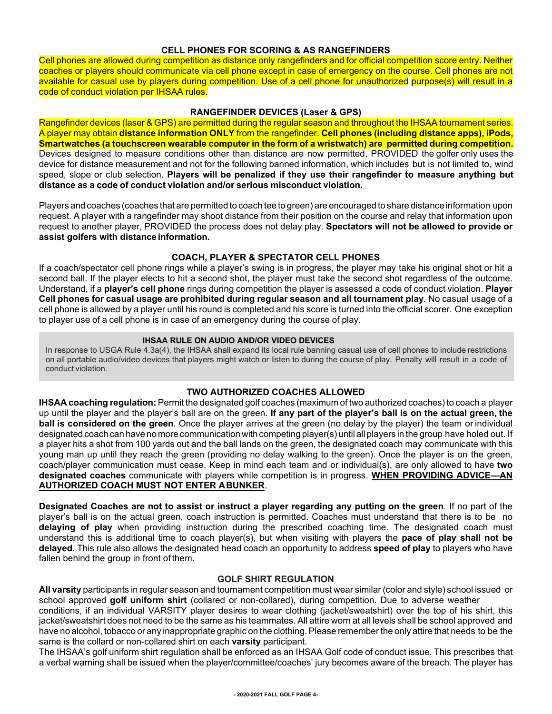#### **CELL PHONES FOR SCORING & AS RANGEFINDERS**

Cell phones are allowed during competition as distance only rangefinders and for official competition score entry. Neither coaches or players should communicate via cell phone except in case of emergency on the course. Cell phones are not available for casual use by players during competition. Use of a cell phone for unauthorized purpose(s) will result in a code of conduct violation per IHSAA rules.

#### **RANGEFINDER DEVICES (Laser & GPS)**

Rangefinder devices (laser & GPS) are permitted during the regular season and throughout the IHSAA tournament series. A player may obtain **distance information ONLY** from the rangefinder. **Cell phones (including distance apps), iPods, Smartwatches (a touchscreen wearable computer in the form of a wristwatch) are permitted during competition.** Devices designed to measure conditions other than distance are now permitted, PROVIDED the golfer only uses the device for distance measurement and not for the following banned information, which includes but is not limited to, wind speed, slope or club selection. **Players will be penalized if they use their rangefinder to measure anything but distance as a code of conduct violation and/or serious misconduct violation.**

Players and coaches (coaches that are permitted to coach tee to green) are encouraged to share distance information upon request. A player with a rangefinder may shoot distance from their position on the course and relay that information upon request to another player, PROVIDED the process does not delay play. **Spectators will not be allowed to provide or assist golfers with distanceinformation.**

#### **COACH, PLAYER & SPECTATOR CELL PHONES**

If a coach/spectator cell phone rings while a player's swing is in progress, the player may take his original shot or hit a second ball. If the player elects to hit a second shot, the player must take the second shot regardless of the outcome. Understand, if a **player's cell phone** rings during competition the player is assessed a code of conduct violation. **Player Cell phones for casual usage are prohibited during regular season and all tournament play**. No casual usage of a cell phone is allowed by a player until his round is completed and his score is turned into the official scorer. One exception to player use of a cell phone is in case of an emergency during the course of play.

#### **IHSAA RULE ON AUDIO AND/OR VIDEO DEVICES**

In response to USGA Rule 4.3a(4), the IHSAA shall expand its local rule banning casual use of cell phones to include restrictions on all portable audio/video devices that players might watch or listen to during the course of play. Penalty will result in a code of conduct violation.

#### **TWO AUTHORIZED COACHES ALLOWED**

**IHSAA coaching regulation:** Permit the designated golf coaches (maximum of two authorized coaches) to coach a player up until the player and the player's ball are on the green. **If any part of the player's ball is on the actual green, the ball is considered on the green**. Once the player arrives at the green (no delay by the player) the team or individual designated coach can have no more communication with competing player(s) until all players in the group have holed out. If a player hits a shot from 100 yards out and the ball lands on the green, the designated coach may communicate with this young man up until they reach the green (providing no delay walking to the green). Once the player is on the green, coach/player communication must cease. Keep in mind each team and or individual(s), are only allowed to have **two designated coaches** communicate with players while competition is in progress. **WHEN PROVIDING ADVICE—AN AUTHORIZED COACH MUST NOT ENTER ABUNKER**.

**Designated Coaches are not to assist or instruct a player regarding any putting on the green**. If no part of the player's ball is on the actual green, coach instruction is permitted. Coaches must understand that there is to be no **delaying of play** when providing instruction during the prescribed coaching time. The designated coach must understand this is additional time to coach player(s), but when visiting with players the **pace of play shall not be delayed**. This rule also allows the designated head coach an opportunity to address **speed of play** to players who have fallen behind the group in front of them.

#### **GOLF SHIRT REGULATION**

**All varsity** participants in regular season and tournament competition must wear similar (color and style) school issued or school approved **golf uniform shirt** (collared or non-collared), during competition. Due to adverse weather

conditions, if an individual VARSITY player desires to wear clothing (jacket/sweatshirt) over the top of his shirt, this jacket/sweatshirt does not need to be the same as his teammates. All attire worn at all levels shall be school approved and have no alcohol, tobacco or any inappropriate graphic on the clothing. Please remember the only attire that needs to be the same is the collard or non-collared shirt on each **varsity** participant.

The IHSAA's golf uniform shirt regulation shall be enforced as an IHSAA Golf code of conduct issue. This prescribes that a verbal warning shall be issued when the player/committee/coaches' jury becomes aware of the breach. The player has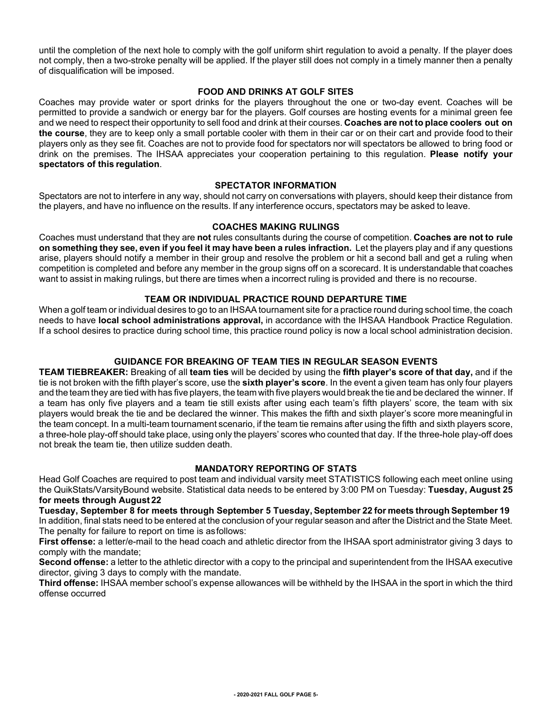until the completion of the next hole to comply with the golf uniform shirt regulation to avoid a penalty. If the player does not comply, then a two-stroke penalty will be applied. If the player still does not comply in a timely manner then a penalty of disqualification will be imposed.

#### **FOOD AND DRINKS AT GOLF SITES**

Coaches may provide water or sport drinks for the players throughout the one or two-day event. Coaches will be permitted to provide a sandwich or energy bar for the players. Golf courses are hosting events for a minimal green fee and we need to respect their opportunity to sell food and drink at their courses. **Coaches are not to place coolers out on the course**, they are to keep only a small portable cooler with them in their car or on their cart and provide food to their players only as they see fit. Coaches are not to provide food for spectators nor will spectators be allowed to bring food or drink on the premises. The IHSAA appreciates your cooperation pertaining to this regulation. **Please notify your spectators of this regulation**.

#### **SPECTATOR INFORMATION**

Spectators are not to interfere in any way, should not carry on conversations with players, should keep their distance from the players, and have no influence on the results. If any interference occurs, spectators may be asked to leave.

#### **COACHES MAKING RULINGS**

Coaches must understand that they are **not** rules consultants during the course of competition. **Coaches are not to rule on something they see, even if you feel it may have been a rules infraction.** Let the players play and if any questions arise, players should notify a member in their group and resolve the problem or hit a second ball and get a ruling when competition is completed and before any member in the group signs off on a scorecard. It is understandable that coaches want to assist in making rulings, but there are times when a incorrect ruling is provided and there is no recourse.

#### **TEAM OR INDIVIDUAL PRACTICE ROUND DEPARTURE TIME**

When a golf team or individual desires to go to an IHSAA tournament site for a practice round during school time, the coach needs to have **local school administrations approval,** in accordance with the IHSAA Handbook Practice Regulation. If a school desires to practice during school time, this practice round policy is now a local school administration decision.

#### **GUIDANCE FOR BREAKING OF TEAM TIES IN REGULAR SEASON EVENTS**

**TEAM TIEBREAKER:** Breaking of all **team ties** will be decided by using the **fifth player's score of that day,** and if the tie is not broken with the fifth player's score, use the **sixth player's score**. In the event a given team has only four players and the team they are tied with has five players, the team with five players would break the tie and be declared the winner. If a team has only five players and a team tie still exists after using each team's fifth players' score, the team with six players would break the tie and be declared the winner. This makes the fifth and sixth player's score more meaningful in the team concept. In a multi-team tournament scenario, if the team tie remains after using the fifth and sixth players score, a three-hole play-off should take place, using only the players' scores who counted that day. If the three-hole play-off does not break the team tie, then utilize sudden death.

#### **MANDATORY REPORTING OF STATS**

Head Golf Coaches are required to post team and individual varsity meet STATISTICS following each meet online using the QuikStats/VarsityBound website. Statistical data needs to be entered by 3:00 PM on Tuesday: **Tuesday, August 25 for meets through August 22**

**Tuesday, September 8 for meets through September 5 Tuesday, September 22 for meets through September 19** In addition, final stats need to be entered at the conclusion of your regular season and after the District and the State Meet. The penalty for failure to report on time is asfollows:

**First offense:** a letter/e-mail to the head coach and athletic director from the IHSAA sport administrator giving 3 days to comply with the mandate;

**Second offense:** a letter to the athletic director with a copy to the principal and superintendent from the IHSAA executive director, giving 3 days to comply with the mandate.

**Third offense:** IHSAA member school's expense allowances will be withheld by the IHSAA in the sport in which the third offense occurred